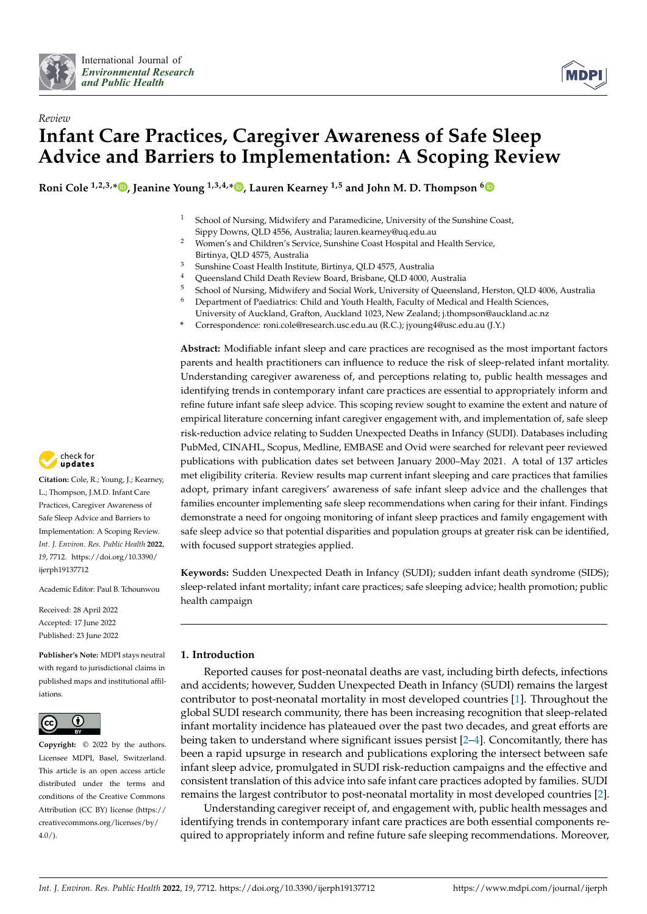



# *Review* **Infant Care Practices, Caregiver Awareness of Safe Sleep Advice and Barriers to Implementation: A Scoping Review**

**Roni Cole 1,2,3,[\\*](https://orcid.org/0000-0001-5881-0311) , Jeanine Young 1,3,4,[\\*](https://orcid.org/0000-0003-3849-3392) , Lauren Kearney 1,5 and John M. D. Thompson [6](https://orcid.org/0000-0001-6944-381X)**

- <sup>1</sup> School of Nursing, Midwifery and Paramedicine, University of the Sunshine Coast, Sippy Downs, QLD 4556, Australia; lauren.kearney@uq.edu.au
- <sup>2</sup> Women's and Children's Service, Sunshine Coast Hospital and Health Service, Birtinya, QLD 4575, Australia
- <sup>3</sup> Sunshine Coast Health Institute, Birtinya, QLD 4575, Australia
- Queensland Child Death Review Board, Brisbane, QLD 4000, Australia
- <sup>5</sup> School of Nursing, Midwifery and Social Work, University of Queensland, Herston, QLD 4006, Australia<sup>6</sup> Department of Packlairs: Child and Youth Health, Faculty of Medical and Health Sciences
- <sup>6</sup> Department of Paediatrics: Child and Youth Health, Faculty of Medical and Health Sciences,
- University of Auckland, Grafton, Auckland 1023, New Zealand; j.thompson@auckland.ac.nz **\*** Correspondence: roni.cole@research.usc.edu.au (R.C.); jyoung4@usc.edu.au (J.Y.)

**Abstract:** Modifiable infant sleep and care practices are recognised as the most important factors parents and health practitioners can influence to reduce the risk of sleep-related infant mortality. Understanding caregiver awareness of, and perceptions relating to, public health messages and identifying trends in contemporary infant care practices are essential to appropriately inform and refine future infant safe sleep advice. This scoping review sought to examine the extent and nature of empirical literature concerning infant caregiver engagement with, and implementation of, safe sleep risk-reduction advice relating to Sudden Unexpected Deaths in Infancy (SUDI). Databases including PubMed, CINAHL, Scopus, Medline, EMBASE and Ovid were searched for relevant peer reviewed publications with publication dates set between January 2000–May 2021. A total of 137 articles met eligibility criteria. Review results map current infant sleeping and care practices that families adopt, primary infant caregivers' awareness of safe infant sleep advice and the challenges that families encounter implementing safe sleep recommendations when caring for their infant. Findings demonstrate a need for ongoing monitoring of infant sleep practices and family engagement with safe sleep advice so that potential disparities and population groups at greater risk can be identified, with focused support strategies applied.

**Keywords:** Sudden Unexpected Death in Infancy (SUDI); sudden infant death syndrome (SIDS); sleep-related infant mortality; infant care practices; safe sleeping advice; health promotion; public health campaign

# **1. Introduction**

Reported causes for post-neonatal deaths are vast, including birth defects, infections and accidents; however, Sudden Unexpected Death in Infancy (SUDI) remains the largest contributor to post-neonatal mortality in most developed countries [\[1\]](#page-19-0). Throughout the global SUDI research community, there has been increasing recognition that sleep-related infant mortality incidence has plateaued over the past two decades, and great efforts are being taken to understand where significant issues persist [\[2](#page-19-1)[–4\]](#page-19-2). Concomitantly, there has been a rapid upsurge in research and publications exploring the intersect between safe infant sleep advice, promulgated in SUDI risk-reduction campaigns and the effective and consistent translation of this advice into safe infant care practices adopted by families. SUDI remains the largest contributor to post-neonatal mortality in most developed countries [\[2\]](#page-19-1).

Understanding caregiver receipt of, and engagement with, public health messages and identifying trends in contemporary infant care practices are both essential components required to appropriately inform and refine future safe sleeping recommendations. Moreover,



**Citation:** Cole, R.; Young, J.; Kearney, L.; Thompson, J.M.D. Infant Care Practices, Caregiver Awareness of Safe Sleep Advice and Barriers to Implementation: A Scoping Review. *Int. J. Environ. Res. Public Health* **2022**, *19*, 7712. [https://doi.org/10.3390/](https://doi.org/10.3390/ijerph19137712) [ijerph19137712](https://doi.org/10.3390/ijerph19137712)

Academic Editor: Paul B. Tchounwou

Received: 28 April 2022 Accepted: 17 June 2022 Published: 23 June 2022

**Publisher's Note:** MDPI stays neutral with regard to jurisdictional claims in published maps and institutional affiliations.



**Copyright:** © 2022 by the authors. Licensee MDPI, Basel, Switzerland. This article is an open access article distributed under the terms and conditions of the Creative Commons Attribution (CC BY) license [\(https://](https://creativecommons.org/licenses/by/4.0/) [creativecommons.org/licenses/by/](https://creativecommons.org/licenses/by/4.0/)  $4.0/$ ).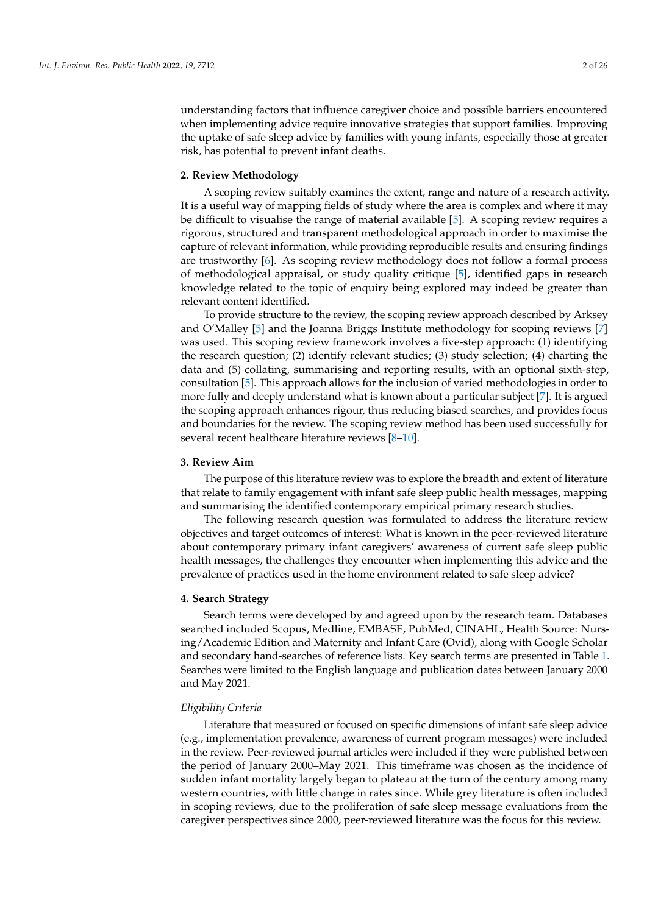understanding factors that influence caregiver choice and possible barriers encountered when implementing advice require innovative strategies that support families. Improving the uptake of safe sleep advice by families with young infants, especially those at greater risk, has potential to prevent infant deaths.

#### **2. Review Methodology**

A scoping review suitably examines the extent, range and nature of a research activity. It is a useful way of mapping fields of study where the area is complex and where it may be difficult to visualise the range of material available [\[5\]](#page-19-3). A scoping review requires a rigorous, structured and transparent methodological approach in order to maximise the capture of relevant information, while providing reproducible results and ensuring findings are trustworthy [\[6\]](#page-19-4). As scoping review methodology does not follow a formal process of methodological appraisal, or study quality critique [\[5\]](#page-19-3), identified gaps in research knowledge related to the topic of enquiry being explored may indeed be greater than relevant content identified.

To provide structure to the review, the scoping review approach described by Arksey and O'Malley [\[5\]](#page-19-3) and the Joanna Briggs Institute methodology for scoping reviews [\[7\]](#page-19-5) was used. This scoping review framework involves a five-step approach: (1) identifying the research question; (2) identify relevant studies; (3) study selection; (4) charting the data and (5) collating, summarising and reporting results, with an optional sixth-step, consultation [\[5\]](#page-19-3). This approach allows for the inclusion of varied methodologies in order to more fully and deeply understand what is known about a particular subject [\[7\]](#page-19-5). It is argued the scoping approach enhances rigour, thus reducing biased searches, and provides focus and boundaries for the review. The scoping review method has been used successfully for several recent healthcare literature reviews [\[8](#page-19-6)[–10\]](#page-19-7).

#### **3. Review Aim**

The purpose of this literature review was to explore the breadth and extent of literature that relate to family engagement with infant safe sleep public health messages, mapping and summarising the identified contemporary empirical primary research studies.

The following research question was formulated to address the literature review objectives and target outcomes of interest: What is known in the peer-reviewed literature about contemporary primary infant caregivers' awareness of current safe sleep public health messages, the challenges they encounter when implementing this advice and the prevalence of practices used in the home environment related to safe sleep advice?

#### **4. Search Strategy**

Search terms were developed by and agreed upon by the research team. Databases searched included Scopus, Medline, EMBASE, PubMed, CINAHL, Health Source: Nursing/Academic Edition and Maternity and Infant Care (Ovid), along with Google Scholar and secondary hand-searches of reference lists. Key search terms are presented in Table [1.](#page-2-0) Searches were limited to the English language and publication dates between January 2000 and May 2021.

# *Eligibility Criteria*

Literature that measured or focused on specific dimensions of infant safe sleep advice (e.g., implementation prevalence, awareness of current program messages) were included in the review. Peer-reviewed journal articles were included if they were published between the period of January 2000–May 2021. This timeframe was chosen as the incidence of sudden infant mortality largely began to plateau at the turn of the century among many western countries, with little change in rates since. While grey literature is often included in scoping reviews, due to the proliferation of safe sleep message evaluations from the caregiver perspectives since 2000, peer-reviewed literature was the focus for this review.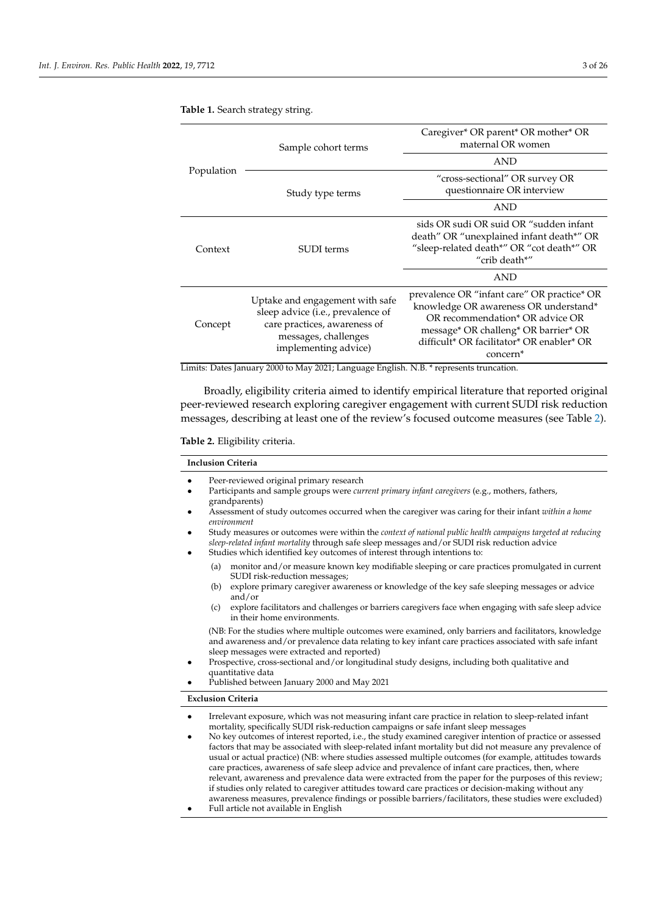|            | Sample cohort terms                                                                                                                                  | Caregiver* OR parent* OR mother* OR<br>maternal OR women                                                                                                                                                                             |  |  |  |  |  |
|------------|------------------------------------------------------------------------------------------------------------------------------------------------------|--------------------------------------------------------------------------------------------------------------------------------------------------------------------------------------------------------------------------------------|--|--|--|--|--|
|            |                                                                                                                                                      | <b>AND</b>                                                                                                                                                                                                                           |  |  |  |  |  |
| Population | Study type terms                                                                                                                                     | "cross-sectional" OR survey OR<br>questionnaire OR interview                                                                                                                                                                         |  |  |  |  |  |
|            |                                                                                                                                                      | <b>AND</b>                                                                                                                                                                                                                           |  |  |  |  |  |
| Context    | SUDI terms                                                                                                                                           | sids OR sudi OR suid OR "sudden infant<br>death" OR "unexplained infant death*" OR<br>"sleep-related death*" OR "cot death*" OR<br>"crib death*"                                                                                     |  |  |  |  |  |
|            |                                                                                                                                                      | <b>AND</b>                                                                                                                                                                                                                           |  |  |  |  |  |
| Concept    | Uptake and engagement with safe<br>sleep advice (i.e., prevalence of<br>care practices, awareness of<br>messages, challenges<br>implementing advice) | prevalence OR "infant care" OR practice* OR<br>knowledge OR awareness OR understand*<br>OR recommendation* OR advice OR<br>message* OR challeng* OR barrier* OR<br>difficult* OR facilitator* OR enabler* OR<br>concern <sup>*</sup> |  |  |  |  |  |

# <span id="page-2-0"></span>**Table 1.** Search strategy string.

Limits: Dates January 2000 to May 2021; Language English. N.B. \* represents truncation.

Broadly, eligibility criteria aimed to identify empirical literature that reported original peer-reviewed research exploring caregiver engagement with current SUDI risk reduction messages, describing at least one of the review's focused outcome measures (see Table [2\)](#page-2-1).

#### <span id="page-2-1"></span>**Table 2.** Eligibility criteria.

|                        |     | <b>Inclusion Criteria</b>                                                                                                                                                                                                                                                               |
|------------------------|-----|-----------------------------------------------------------------------------------------------------------------------------------------------------------------------------------------------------------------------------------------------------------------------------------------|
| $\bullet$              |     | Peer-reviewed original primary research                                                                                                                                                                                                                                                 |
| $\bullet$              |     | Participants and sample groups were <i>current primary infant caregivers</i> (e.g., mothers, fathers,<br>grandparents)                                                                                                                                                                  |
| $\bullet$              |     | Assessment of study outcomes occurred when the caregiver was caring for their infant within a home<br>environment                                                                                                                                                                       |
| $\bullet$<br>$\bullet$ |     | Study measures or outcomes were within the context of national public health campaigns targeted at reducing<br>sleep-related infant mortality through safe sleep messages and/or SUDI risk reduction advice<br>Studies which identified key outcomes of interest through intentions to: |
|                        | (a) | monitor and/or measure known key modifiable sleeping or care practices promulgated in current<br>SUDI risk-reduction messages;                                                                                                                                                          |
|                        | (b) | explore primary caregiver awareness or knowledge of the key safe sleeping messages or advice<br>and/or                                                                                                                                                                                  |
|                        | (c) | explore facilitators and challenges or barriers caregivers face when engaging with safe sleep advice<br>in their home environments.                                                                                                                                                     |
|                        |     | (NB: For the studies where multiple outcomes were examined, only barriers and facilitators, knowledge                                                                                                                                                                                   |

and awareness and/or prevalence data relating to key infant care practices associated with safe infant sleep messages were extracted and reported)

- Prospective, cross-sectional and/or longitudinal study designs, including both qualitative and quantitative data
	- Published between January 2000 and May 2021

#### **Exclusion Criteria**

- Irrelevant exposure, which was not measuring infant care practice in relation to sleep-related infant mortality, specifically SUDI risk-reduction campaigns or safe infant sleep messages
- No key outcomes of interest reported, i.e., the study examined caregiver intention of practice or assessed factors that may be associated with sleep-related infant mortality but did not measure any prevalence of usual or actual practice) (NB: where studies assessed multiple outcomes (for example, attitudes towards care practices, awareness of safe sleep advice and prevalence of infant care practices, then, where relevant, awareness and prevalence data were extracted from the paper for the purposes of this review; if studies only related to caregiver attitudes toward care practices or decision-making without any awareness measures, prevalence findings or possible barriers/facilitators, these studies were excluded)
- Full article not available in English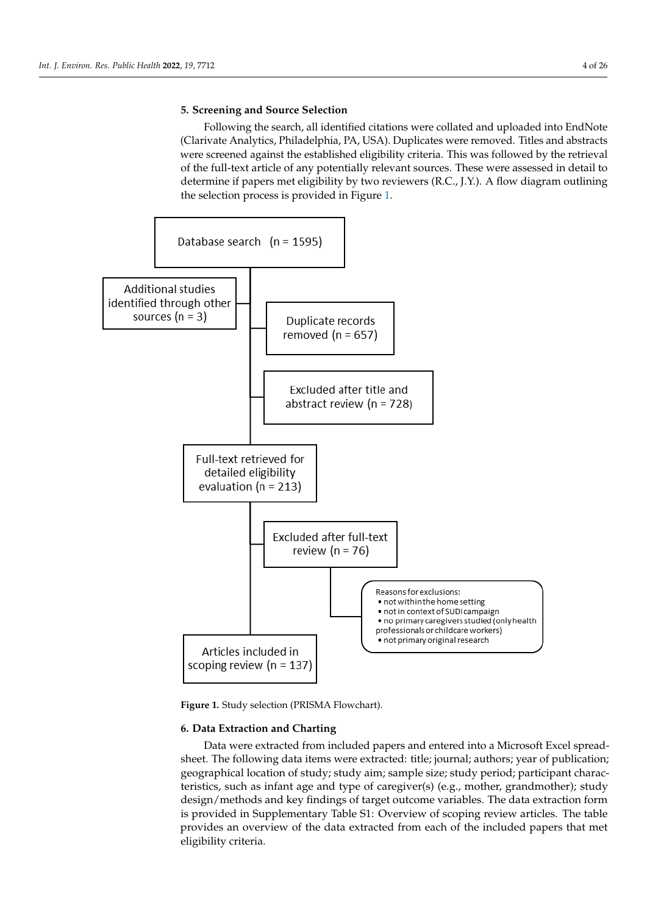# **5. Screening and Source Selection**

Following the search, all identified citations were collated and uploaded into EndNote (Clarivate Analytics, Philadelphia, PA, USA). Duplicates were removed. Titles and abstracts were screened against the established eligibility criteria. This was followed by the retrieval of the full-text article of any potentially relevant sources. These were assessed in detail to determine if papers met eligibility by two reviewers (R.C., J.Y.). A flow diagram outlining the selection process is provided in Figure [1.](#page-3-0)

<span id="page-3-0"></span>

**Figure 1.** Study selection (PRISMA Flowchart).

# **6. Data Extraction and Charting**

Data were extracted from included papers and entered into a Microsoft Excel spreadsheet. The following data items were extracted: title; journal; authors; year of publication; geographical location of study; study aim; sample size; study period; participant characteristics, such as infant age and type of caregiver(s) (e.g., mother, grandmother); study design/methods and key findings of target outcome variables. The data extraction form is provided in Supplementary Table S1: Overview of scoping review articles. The table provides an overview of the data extracted from each of the included papers that met eligibility criteria.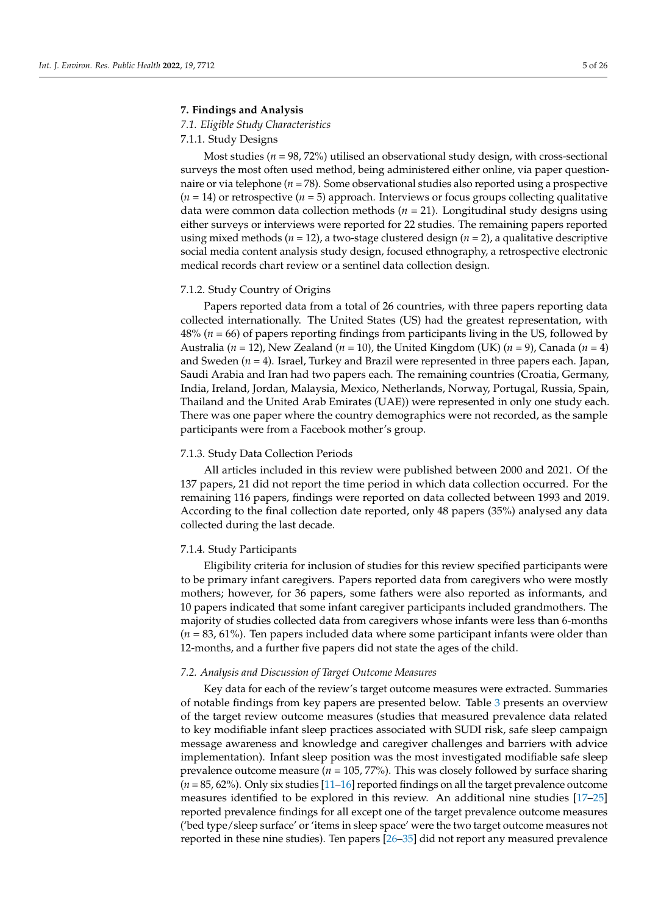#### **7. Findings and Analysis**

*7.1. Eligible Study Characteristics*

# 7.1.1. Study Designs

Most studies (*n* = 98, 72%) utilised an observational study design, with cross-sectional surveys the most often used method, being administered either online, via paper questionnaire or via telephone (*n* = 78). Some observational studies also reported using a prospective  $(n = 14)$  or retrospective  $(n = 5)$  approach. Interviews or focus groups collecting qualitative data were common data collection methods (*n* = 21). Longitudinal study designs using either surveys or interviews were reported for 22 studies. The remaining papers reported using mixed methods (*n* = 12), a two-stage clustered design (*n* = 2), a qualitative descriptive social media content analysis study design, focused ethnography, a retrospective electronic medical records chart review or a sentinel data collection design.

# 7.1.2. Study Country of Origins

Papers reported data from a total of 26 countries, with three papers reporting data collected internationally. The United States (US) had the greatest representation, with 48% (*n* = 66) of papers reporting findings from participants living in the US, followed by Australia (*n* = 12), New Zealand (*n* = 10), the United Kingdom (UK) (*n* = 9), Canada (*n* = 4) and Sweden (*n* = 4). Israel, Turkey and Brazil were represented in three papers each. Japan, Saudi Arabia and Iran had two papers each. The remaining countries (Croatia, Germany, India, Ireland, Jordan, Malaysia, Mexico, Netherlands, Norway, Portugal, Russia, Spain, Thailand and the United Arab Emirates (UAE)) were represented in only one study each. There was one paper where the country demographics were not recorded, as the sample participants were from a Facebook mother's group.

#### 7.1.3. Study Data Collection Periods

All articles included in this review were published between 2000 and 2021. Of the 137 papers, 21 did not report the time period in which data collection occurred. For the remaining 116 papers, findings were reported on data collected between 1993 and 2019. According to the final collection date reported, only 48 papers (35%) analysed any data collected during the last decade.

#### 7.1.4. Study Participants

Eligibility criteria for inclusion of studies for this review specified participants were to be primary infant caregivers. Papers reported data from caregivers who were mostly mothers; however, for 36 papers, some fathers were also reported as informants, and 10 papers indicated that some infant caregiver participants included grandmothers. The majority of studies collected data from caregivers whose infants were less than 6-months (*n* = 83, 61%). Ten papers included data where some participant infants were older than 12-months, and a further five papers did not state the ages of the child.

#### *7.2. Analysis and Discussion of Target Outcome Measures*

Key data for each of the review's target outcome measures were extracted. Summaries of notable findings from key papers are presented below. Table [3](#page-8-0) presents an overview of the target review outcome measures (studies that measured prevalence data related to key modifiable infant sleep practices associated with SUDI risk, safe sleep campaign message awareness and knowledge and caregiver challenges and barriers with advice implementation). Infant sleep position was the most investigated modifiable safe sleep prevalence outcome measure ( $n = 105$ , 77%). This was closely followed by surface sharing  $(n = 85, 62\%)$ . Only six studies  $[11–16]$  $[11–16]$  reported findings on all the target prevalence outcome measures identified to be explored in this review. An additional nine studies [\[17–](#page-19-10)[25\]](#page-20-0) reported prevalence findings for all except one of the target prevalence outcome measures ('bed type/sleep surface' or 'items in sleep space' were the two target outcome measures not reported in these nine studies). Ten papers [\[26](#page-20-1)[–35\]](#page-20-2) did not report any measured prevalence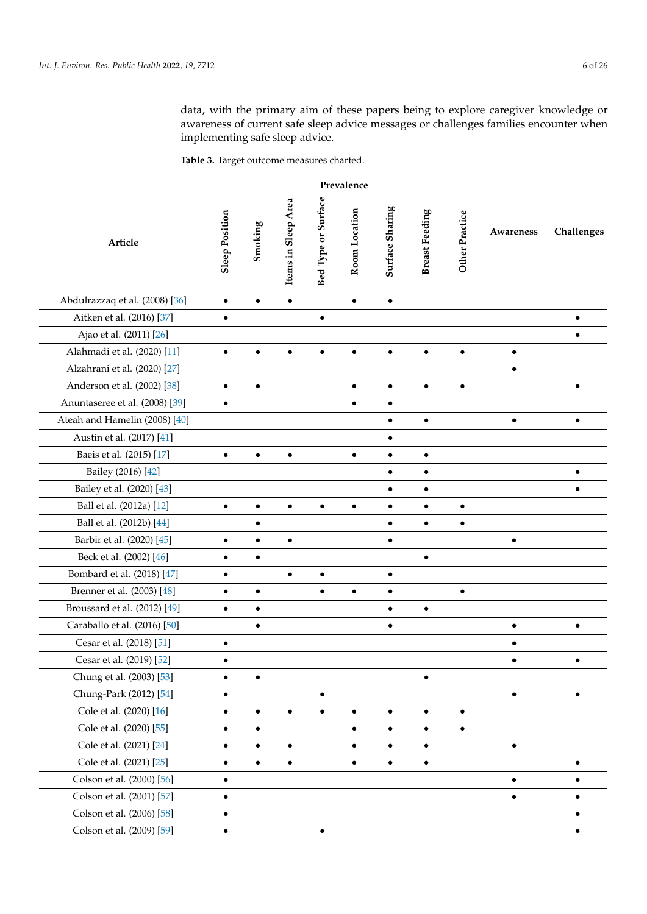data, with the primary aim of these papers being to explore caregiver knowledge or awareness of current safe sleep advice messages or challenges families encounter when implementing safe sleep advice.

**Table 3.** Target outcome measures charted.

| Article                        | <b>Sleep Position</b> | Smoking   | Items in Sleep Area | Bed Type or Surface | Room Location | Surface Sharing | <b>Breast Feeding</b> | Other Practice | Awareness | Challenges |
|--------------------------------|-----------------------|-----------|---------------------|---------------------|---------------|-----------------|-----------------------|----------------|-----------|------------|
| Abdulrazzaq et al. (2008) [36] | $\bullet$             | $\bullet$ | $\bullet$           |                     | $\bullet$     | $\bullet$       |                       |                |           |            |
| Aitken et al. (2016) [37]      | $\bullet$             |           |                     | ٠                   |               |                 |                       |                |           |            |
| Ajao et al. (2011) [26]        |                       |           |                     |                     |               |                 |                       |                |           |            |
| Alahmadi et al. (2020) [11]    | $\bullet$             | $\bullet$ | $\bullet$           | $\bullet$           | $\bullet$     | $\bullet$       | $\bullet$             | $\bullet$      | $\bullet$ |            |
| Alzahrani et al. (2020) [27]   |                       |           |                     |                     |               |                 |                       |                | $\bullet$ |            |
| Anderson et al. (2002) [38]    | $\bullet$             | $\bullet$ |                     |                     | $\bullet$     | $\bullet$       | $\bullet$             | $\bullet$      |           | $\bullet$  |
| Anuntaseree et al. (2008) [39] | $\bullet$             |           |                     |                     | $\bullet$     | ٠               |                       |                |           |            |
| Ateah and Hamelin (2008) [40]  |                       |           |                     |                     |               | $\bullet$       | $\bullet$             |                |           |            |
| Austin et al. (2017) [41]      |                       |           |                     |                     |               | $\bullet$       |                       |                |           |            |
| Baeis et al. (2015) [17]       | $\bullet$             | $\bullet$ | $\bullet$           |                     | $\bullet$     | ٠               | $\bullet$             |                |           |            |
| Bailey (2016) [42]             |                       |           |                     |                     |               |                 | $\bullet$             |                |           |            |
| Bailey et al. (2020) [43]      |                       |           |                     |                     |               | $\bullet$       | $\bullet$             |                |           |            |
| Ball et al. (2012a) [12]       | $\bullet$             | $\bullet$ |                     |                     | $\bullet$     | $\bullet$       | $\bullet$             |                |           |            |
| Ball et al. (2012b) [44]       |                       |           |                     |                     |               |                 | $\bullet$             | $\bullet$      |           |            |
| Barbir et al. (2020) [45]      | $\bullet$             | $\bullet$ | $\bullet$           |                     |               | $\bullet$       |                       |                | $\bullet$ |            |
| Beck et al. (2002) [46]        |                       |           |                     |                     |               |                 |                       |                |           |            |
| Bombard et al. (2018) [47]     |                       |           | $\bullet$           | ٠                   |               | $\bullet$       |                       |                |           |            |
| Brenner et al. (2003) [48]     | $\bullet$             | $\bullet$ |                     |                     | Ō             |                 |                       |                |           |            |
| Broussard et al. (2012) [49]   | $\bullet$             | $\bullet$ |                     |                     |               | $\bullet$       | $\bullet$             |                |           |            |
| Caraballo et al. (2016) [50]   |                       | $\bullet$ |                     |                     |               | $\bullet$       |                       |                | $\bullet$ | $\bullet$  |
| Cesar et al. (2018) [51]       | ٠                     |           |                     |                     |               |                 |                       |                | $\bullet$ |            |
| Cesar et al. (2019) [52]       |                       |           |                     |                     |               |                 |                       |                |           |            |
| Chung et al. (2003) [53]       | $\bullet$             | $\bullet$ |                     |                     |               |                 | $\bullet$             |                |           |            |
| Chung-Park (2012) [54]         |                       |           |                     |                     |               |                 |                       |                | $\bullet$ |            |
| Cole et al. (2020) [16]        | $\bullet$             | $\bullet$ | $\bullet$           |                     | ٠             | $\bullet$       | $\bullet$             | $\bullet$      |           |            |
| Cole et al. (2020) [55]        | $\bullet$             | $\bullet$ |                     |                     | $\bullet$     | $\bullet$       | $\bullet$             |                |           |            |
| Cole et al. (2021) [24]        | $\bullet$             |           | $\bullet$           |                     | $\bullet$     |                 | $\bullet$             |                | $\bullet$ |            |
| Cole et al. (2021) [25]        | $\bullet$             | $\bullet$ | $\bullet$           |                     | $\bullet$     | $\bullet$       | $\bullet$             |                |           |            |
| Colson et al. (2000) [56]      | ٠                     |           |                     |                     |               |                 |                       |                | $\bullet$ |            |
| Colson et al. (2001) [57]      | $\bullet$             |           |                     |                     |               |                 |                       |                | $\bullet$ |            |
| Colson et al. (2006) [58]      | $\bullet$             |           |                     |                     |               |                 |                       |                |           |            |
| Colson et al. (2009) [59]      | ٠                     |           |                     |                     |               |                 |                       |                |           |            |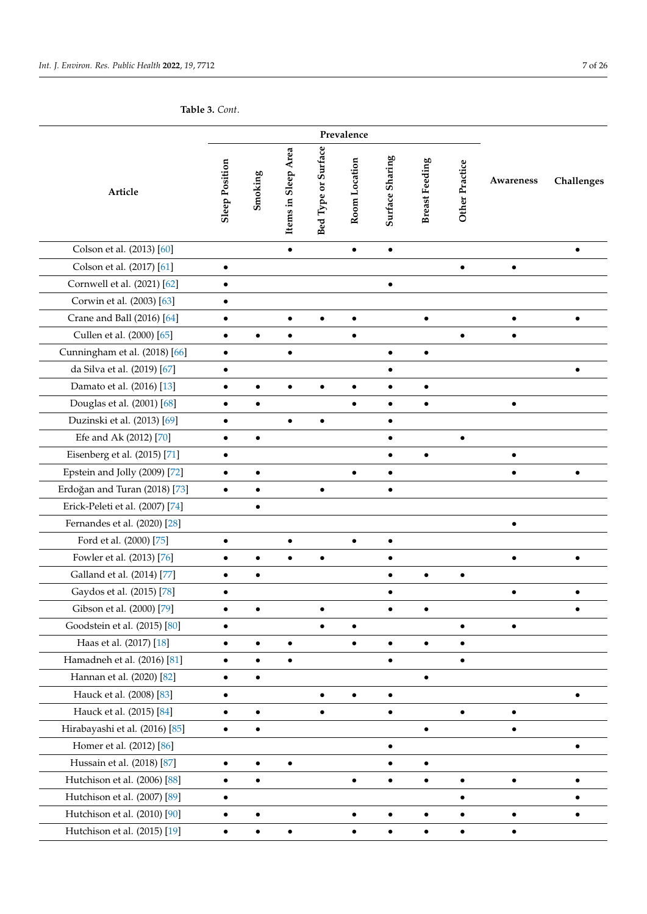**Table 3.** *Cont*.

| Article                         | <b>Sleep Position</b> | Smoking   | Items in Sleep Area | Bed Type or Surface | Room Location | Surface Sharing | <b>Breast Feeding</b> | Other Practice | Awareness | Challenges |
|---------------------------------|-----------------------|-----------|---------------------|---------------------|---------------|-----------------|-----------------------|----------------|-----------|------------|
| Colson et al. (2013) [60]       |                       |           | $\bullet$           |                     | $\bullet$     | $\bullet$       |                       |                |           |            |
| Colson et al. (2017) [61]       |                       |           |                     |                     |               |                 |                       |                | $\bullet$ |            |
| Cornwell et al. (2021) [62]     | $\bullet$             |           |                     |                     |               | $\bullet$       |                       |                |           |            |
| Corwin et al. (2003) [63]       | $\bullet$             |           |                     |                     |               |                 |                       |                |           |            |
| Crane and Ball (2016) [64]      |                       |           |                     | $\bullet$           | $\bullet$     |                 | $\bullet$             |                |           |            |
| Cullen et al. (2000) [65]       | $\bullet$             | $\bullet$ | $\bullet$           |                     | $\bullet$     |                 |                       |                | $\bullet$ |            |
| Cunningham et al. (2018) [66]   | ٠                     |           |                     |                     |               | $\bullet$       | $\bullet$             |                |           |            |
| da Silva et al. (2019) [67]     | $\bullet$             |           |                     |                     |               | $\bullet$       |                       |                |           | $\bullet$  |
| Damato et al. (2016) [13]       | ٠                     |           |                     | $\bullet$           | $\bullet$     | $\bullet$       | $\bullet$             |                |           |            |
| Douglas et al. (2001) [68]      |                       | $\bullet$ |                     |                     |               | $\bullet$       | $\bullet$             |                |           |            |
| Duzinski et al. (2013) [69]     | $\bullet$             |           | $\bullet$           | $\bullet$           |               | $\bullet$       |                       |                |           |            |
| Efe and Ak (2012) [70]          | $\bullet$             | $\bullet$ |                     |                     |               | $\bullet$       |                       |                |           |            |
| Eisenberg et al. (2015) [71]    |                       |           |                     |                     |               | $\bullet$       | $\bullet$             |                | $\bullet$ |            |
| Epstein and Jolly (2009) [72]   | $\bullet$             | $\bullet$ |                     |                     | $\bullet$     | $\bullet$       |                       |                |           | $\bullet$  |
| Erdoğan and Turan (2018) [73]   | $\bullet$             | $\bullet$ |                     | $\bullet$           |               | $\bullet$       |                       |                |           |            |
| Erick-Peleti et al. (2007) [74] |                       | $\bullet$ |                     |                     |               |                 |                       |                |           |            |
| Fernandes et al. (2020) [28]    |                       |           |                     |                     |               |                 |                       |                |           |            |
| Ford et al. (2000) [75]         |                       |           |                     |                     |               | $\bullet$       |                       |                |           |            |
| Fowler et al. (2013) [76]       | $\bullet$             |           | $\bullet$           | $\bullet$           |               | $\bullet$       |                       |                | $\bullet$ |            |
| Galland et al. (2014) [77]      | ٠                     | ٠         |                     |                     |               | $\bullet$       |                       | $\bullet$      |           |            |
| Gaydos et al. (2015) [78]       |                       |           |                     |                     |               |                 |                       |                |           |            |
| Gibson et al. (2000) [79]       | $\bullet$             | ٠         |                     | $\bullet$           |               |                 | ٠                     |                |           |            |
| Goodstein et al. (2015) [80]    | $\bullet$             |           |                     |                     |               |                 |                       |                |           |            |
| Haas et al. (2017) [18]         | $\bullet$             | $\bullet$ | $\bullet$           |                     | $\bullet$     | $\bullet$       | $\bullet$             | $\bullet$      |           |            |
| Hamadneh et al. (2016) [81]     |                       |           |                     |                     |               | $\bullet$       |                       |                |           |            |
| Hannan et al. (2020) [82]       | $\bullet$             | $\bullet$ |                     |                     |               |                 | $\bullet$             |                |           |            |
| Hauck et al. (2008) [83]        | $\bullet$             |           |                     | $\bullet$           | $\bullet$     | $\bullet$       |                       |                |           | $\bullet$  |
| Hauck et al. (2015) [84]        | ٠                     |           |                     |                     |               | $\bullet$       |                       | $\bullet$      | $\bullet$ |            |
| Hirabayashi et al. (2016) [85]  |                       | $\bullet$ |                     |                     |               |                 | $\bullet$             |                |           |            |
| Homer et al. (2012) [86]        |                       |           |                     |                     |               | $\bullet$       |                       |                |           | $\bullet$  |
| Hussain et al. (2018) [87]      | $\bullet$             | $\bullet$ |                     |                     |               | $\bullet$       | $\bullet$             |                |           |            |
| Hutchison et al. (2006) [88]    |                       |           |                     |                     | $\bullet$     | $\bullet$       | $\bullet$             | $\bullet$      | $\bullet$ |            |
| Hutchison et al. (2007) [89]    |                       |           |                     |                     |               |                 |                       |                |           |            |
| Hutchison et al. (2010) [90]    |                       |           |                     |                     |               | $\bullet$       | $\bullet$             |                |           |            |
| Hutchison et al. (2015) [19]    | $\bullet$             |           |                     |                     |               | $\bullet$       | $\bullet$             | $\bullet$      |           |            |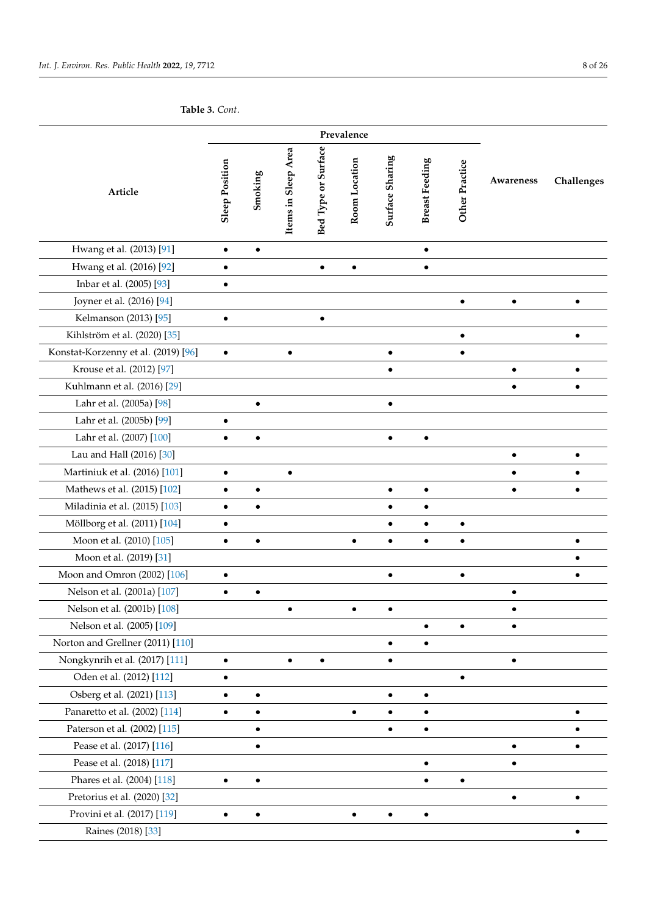**Table 3.** *Cont*.

| Article                             |           | Smoking   | Items in Sleep Area | Bed Type or Surface | Room Location | Surface Sharing | <b>Breast Feeding</b> | Other Practice | Awareness | Challenges |
|-------------------------------------|-----------|-----------|---------------------|---------------------|---------------|-----------------|-----------------------|----------------|-----------|------------|
| Hwang et al. (2013) [91]            | $\bullet$ | $\bullet$ |                     |                     |               |                 | $\bullet$             |                |           |            |
| Hwang et al. (2016) [92]            |           |           |                     | $\bullet$           |               |                 | $\bullet$             |                |           |            |
| Inbar et al. (2005) [93]            |           |           |                     |                     |               |                 |                       |                |           |            |
| Joyner et al. (2016) [94]           |           |           |                     |                     |               |                 |                       | $\bullet$      | $\bullet$ | $\bullet$  |
| Kelmanson (2013) [95]               | $\bullet$ |           |                     | $\bullet$           |               |                 |                       |                |           |            |
| Kihlström et al. (2020) [35]        |           |           |                     |                     |               |                 |                       | $\bullet$      |           | $\bullet$  |
| Konstat-Korzenny et al. (2019) [96] | $\bullet$ |           |                     |                     |               | $\bullet$       |                       |                |           |            |
| Krouse et al. (2012) [97]           |           |           |                     |                     |               | $\bullet$       |                       |                | $\bullet$ | $\bullet$  |
| Kuhlmann et al. (2016) [29]         |           |           |                     |                     |               |                 |                       |                |           |            |
| Lahr et al. (2005a) [98]            |           |           |                     |                     |               | $\bullet$       |                       |                |           |            |
| Lahr et al. (2005b) [99]            | $\bullet$ |           |                     |                     |               |                 |                       |                |           |            |
| Lahr et al. (2007) [100]            |           |           |                     |                     |               |                 |                       |                |           |            |
| Lau and Hall (2016) [30]            |           |           |                     |                     |               |                 |                       |                | $\bullet$ | $\bullet$  |
| Martiniuk et al. (2016) [101]       | $\bullet$ |           |                     |                     |               |                 |                       |                |           |            |
| Mathews et al. (2015) [102]         | $\bullet$ | ٠         |                     |                     |               | $\bullet$       |                       |                |           |            |
| Miladinia et al. (2015) [103]       | $\bullet$ | $\bullet$ |                     |                     |               | $\bullet$       | $\bullet$             |                |           |            |
| Möllborg et al. (2011) [104]        |           |           |                     |                     |               | ٠               |                       | $\bullet$      |           |            |
| Moon et al. (2010) [105]            | $\bullet$ | $\bullet$ |                     |                     |               | $\bullet$       | $\bullet$             |                |           |            |
| Moon et al. (2019) [31]             |           |           |                     |                     |               |                 |                       |                |           | $\bullet$  |
| Moon and Omron (2002) [106]         | $\bullet$ |           |                     |                     |               | $\bullet$       |                       | $\bullet$      |           | ٠          |
| Nelson et al. (2001a) [107]         |           | $\bullet$ |                     |                     |               |                 |                       |                |           |            |
| Nelson et al. (2001b) [108]         |           |           |                     |                     | $\bullet$     | ٠               |                       |                |           |            |
| Nelson et al. (2005) [109]          |           |           |                     |                     |               |                 |                       |                |           |            |
| Norton and Grellner (2011) [110]    |           |           |                     |                     |               | $\bullet$       | $\bullet$             |                |           |            |
| Nongkynrih et al. (2017) [111]      | $\bullet$ |           |                     | $\bullet$           |               | $\bullet$       |                       |                | $\bullet$ |            |
| Oden et al. (2012) [112]            |           |           |                     |                     |               |                 |                       |                |           |            |
| Osberg et al. (2021) [113]          | $\bullet$ | $\bullet$ |                     |                     |               | $\bullet$       | $\bullet$             |                |           |            |
| Panaretto et al. (2002) [114]       |           |           |                     |                     |               |                 |                       |                |           |            |
| Paterson et al. (2002) [115]        |           |           |                     |                     |               |                 | $\bullet$             |                |           |            |
| Pease et al. (2017) [116]           |           |           |                     |                     |               |                 |                       |                | $\bullet$ |            |
| Pease et al. (2018) [117]           |           |           |                     |                     |               |                 | $\bullet$             |                |           |            |
| Phares et al. (2004) [118]          |           |           |                     |                     |               |                 |                       |                |           |            |
| Pretorius et al. (2020) [32]        |           |           |                     |                     |               |                 |                       |                |           |            |
| Provini et al. (2017) [119]         |           |           |                     |                     |               |                 |                       |                |           |            |
| Raines (2018) [33]                  |           |           |                     |                     |               |                 |                       |                |           | $\bullet$  |
|                                     |           |           |                     |                     |               |                 |                       |                |           |            |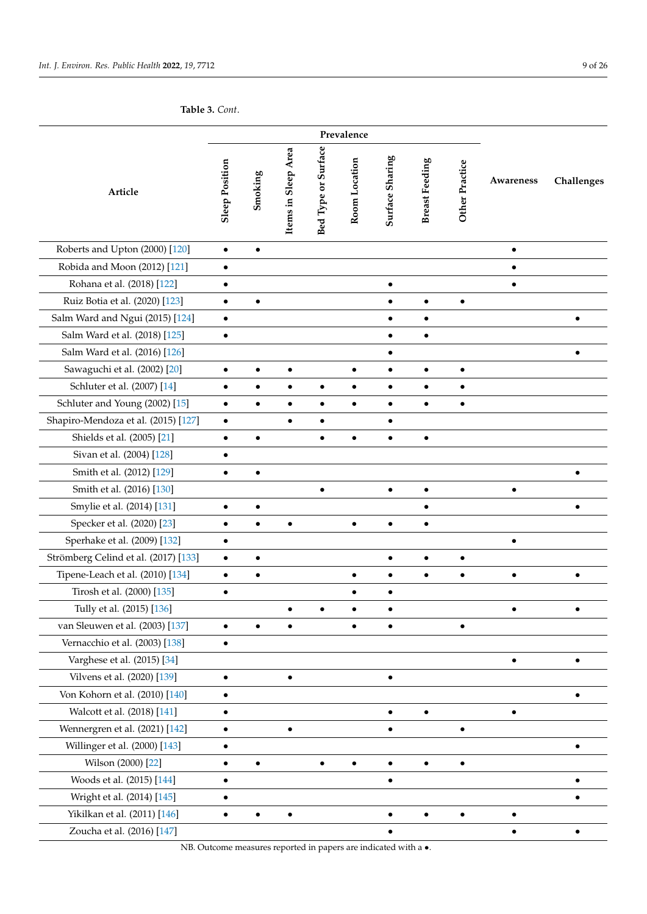<span id="page-8-0"></span>**Table 3.** *Cont*.

| Article                              |           | Smoking   | Items in Sleep Area | Bed Type or Surface | Room Location | Surface Sharing | <b>Breast Feeding</b> | Other Practice | Awareness | Challenges |
|--------------------------------------|-----------|-----------|---------------------|---------------------|---------------|-----------------|-----------------------|----------------|-----------|------------|
| Roberts and Upton (2000) [120]       | $\bullet$ | $\bullet$ |                     |                     |               |                 |                       |                | $\bullet$ |            |
| Robida and Moon (2012) [121]         | $\bullet$ |           |                     |                     |               |                 |                       |                |           |            |
| Rohana et al. (2018) [122]           | $\bullet$ |           |                     |                     |               | $\bullet$       |                       |                | $\bullet$ |            |
| Ruiz Botia et al. (2020) [123]       | $\bullet$ | $\bullet$ |                     |                     |               | $\bullet$       | $\bullet$             | $\bullet$      |           |            |
| Salm Ward and Ngui (2015) [124]      | $\bullet$ |           |                     |                     |               | $\bullet$       | $\bullet$             |                |           | $\bullet$  |
| Salm Ward et al. (2018) [125]        | $\bullet$ |           |                     |                     |               | $\bullet$       | $\bullet$             |                |           |            |
| Salm Ward et al. (2016) [126]        |           |           |                     |                     |               | $\bullet$       |                       |                |           |            |
| Sawaguchi et al. (2002) [20]         | $\bullet$ | $\bullet$ | $\bullet$           |                     | $\bullet$     | $\bullet$       | ٠                     | $\bullet$      |           |            |
| Schluter et al. (2007) [14]          | $\bullet$ | ٠         |                     | $\bullet$           | ٠             | $\bullet$       | $\bullet$             | $\bullet$      |           |            |
| Schluter and Young (2002) [15]       | $\bullet$ | $\bullet$ | $\bullet$           | $\bullet$           | $\bullet$     | $\bullet$       | $\bullet$             | $\bullet$      |           |            |
| Shapiro-Mendoza et al. (2015) [127]  | $\bullet$ |           | $\bullet$           | $\bullet$           |               | $\bullet$       |                       |                |           |            |
| Shields et al. (2005) [21]           | $\bullet$ | $\bullet$ |                     | $\bullet$           |               | $\bullet$       | $\bullet$             |                |           |            |
| Sivan et al. (2004) [128]            | $\bullet$ |           |                     |                     |               |                 |                       |                |           |            |
| Smith et al. (2012) [129]            |           | $\bullet$ |                     |                     |               |                 |                       |                |           |            |
| Smith et al. (2016) [130]            |           |           |                     |                     |               | $\bullet$       |                       |                |           |            |
| Smylie et al. (2014) [131]           | $\bullet$ | $\bullet$ |                     |                     |               |                 |                       |                |           | $\bullet$  |
| Specker et al. (2020) [23]           | ٠         |           |                     |                     |               | $\bullet$       |                       |                |           |            |
| Sperhake et al. (2009) [132]         | $\bullet$ |           |                     |                     |               |                 |                       |                | $\bullet$ |            |
| Strömberg Celind et al. (2017) [133] | $\bullet$ | $\bullet$ |                     |                     |               | $\bullet$       | $\bullet$             | $\bullet$      |           |            |
| Tipene-Leach et al. (2010) [134]     | $\bullet$ | ٠         |                     |                     | $\bullet$     | $\bullet$       | ٠                     | $\bullet$      | $\bullet$ | $\bullet$  |
| Tirosh et al. (2000) [135]           | $\bullet$ |           |                     |                     |               | ٠               |                       |                |           |            |
| Tully et al. (2015) [136]            |           |           |                     | ٠                   | ٠             | $\bullet$       |                       |                | ٠         |            |
| van Sleuwen et al. (2003) [137]      |           |           |                     |                     |               |                 |                       |                |           |            |
| Vernacchio et al. (2003) [138]       | $\bullet$ |           |                     |                     |               |                 |                       |                |           |            |
| Varghese et al. (2015) [34]          |           |           |                     |                     |               |                 |                       |                |           |            |
| Vilvens et al. (2020) [139]          | $\bullet$ |           |                     |                     |               | $\bullet$       |                       |                |           |            |
| Von Kohorn et al. (2010) [140]       | $\bullet$ |           |                     |                     |               |                 |                       |                |           |            |
| Walcott et al. (2018) [141]          | $\bullet$ |           |                     |                     |               | $\bullet$       | $\bullet$             |                |           |            |
| Wennergren et al. (2021) [142]       | $\bullet$ |           | $\bullet$           |                     |               | $\bullet$       |                       | $\bullet$      |           |            |
| Willinger et al. (2000) [143]        | $\bullet$ |           |                     |                     |               |                 |                       |                |           | $\bullet$  |
| Wilson (2000) [22]                   | $\bullet$ |           |                     |                     |               | $\bullet$       | $\bullet$             |                |           |            |
| Woods et al. (2015) [144]            |           |           |                     |                     |               | $\bullet$       |                       |                |           |            |
| Wright et al. (2014) [145]           |           |           |                     |                     |               |                 |                       |                |           |            |
| Yikilkan et al. (2011) [146]         |           |           |                     |                     |               |                 | $\bullet$             |                |           |            |
| Zoucha et al. (2016) [147]           |           |           |                     |                     |               | $\bullet$       |                       |                |           |            |

NB. Outcome measures reported in papers are indicated with a  $\bullet.$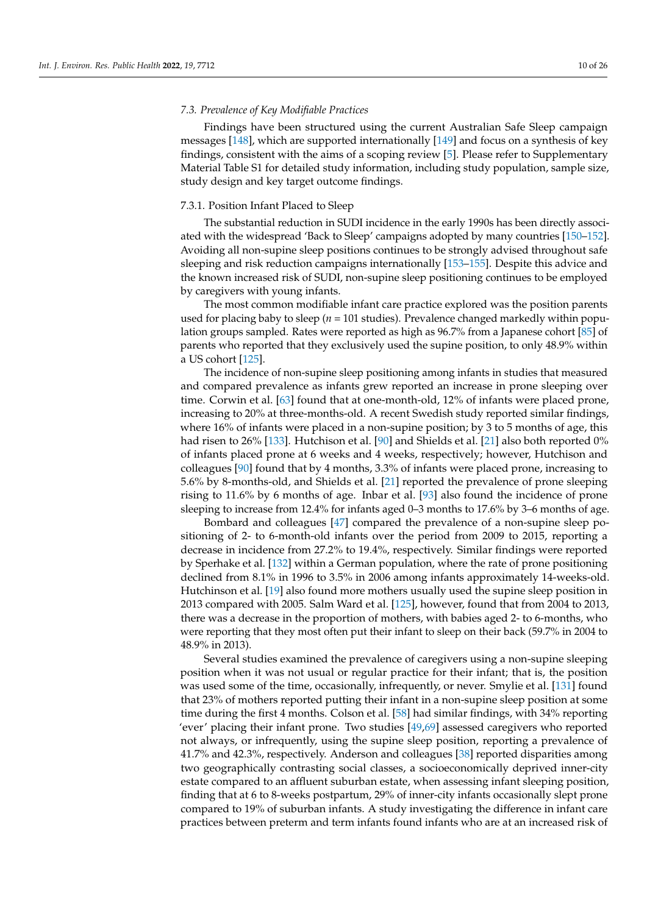#### *7.3. Prevalence of Key Modifiable Practices*

Findings have been structured using the current Australian Safe Sleep campaign messages [\[148\]](#page-24-17), which are supported internationally [\[149\]](#page-24-18) and focus on a synthesis of key findings, consistent with the aims of a scoping review [\[5\]](#page-19-3). Please refer to Supplementary Material Table S1 for detailed study information, including study population, sample size, study design and key target outcome findings.

# 7.3.1. Position Infant Placed to Sleep

The substantial reduction in SUDI incidence in the early 1990s has been directly associated with the widespread 'Back to Sleep' campaigns adopted by many countries [\[150](#page-24-19)[–152\]](#page-24-20). Avoiding all non-supine sleep positions continues to be strongly advised throughout safe sleeping and risk reduction campaigns internationally [\[153–](#page-24-21)[155\]](#page-24-22). Despite this advice and the known increased risk of SUDI, non-supine sleep positioning continues to be employed by caregivers with young infants.

The most common modifiable infant care practice explored was the position parents used for placing baby to sleep (*n* = 101 studies). Prevalence changed markedly within population groups sampled. Rates were reported as high as 96.7% from a Japanese cohort [\[85\]](#page-22-8) of parents who reported that they exclusively used the supine position, to only 48.9% within a US cohort [\[125\]](#page-23-22).

The incidence of non-supine sleep positioning among infants in studies that measured and compared prevalence as infants grew reported an increase in prone sleeping over time. Corwin et al. [\[63\]](#page-21-14) found that at one-month-old, 12% of infants were placed prone, increasing to 20% at three-months-old. A recent Swedish study reported similar findings, where 16% of infants were placed in a non-supine position; by 3 to 5 months of age, this had risen to 26% [\[133\]](#page-24-2). Hutchison et al. [\[90\]](#page-22-13) and Shields et al. [\[21\]](#page-20-25) also both reported 0% of infants placed prone at 6 weeks and 4 weeks, respectively; however, Hutchison and colleagues [\[90\]](#page-22-13) found that by 4 months, 3.3% of infants were placed prone, increasing to 5.6% by 8-months-old, and Shields et al. [\[21\]](#page-20-25) reported the prevalence of prone sleeping rising to 11.6% by 6 months of age. Inbar et al. [\[93\]](#page-22-16) also found the incidence of prone sleeping to increase from 12.4% for infants aged 0–3 months to 17.6% by 3–6 months of age.

Bombard and colleagues [\[47\]](#page-20-15) compared the prevalence of a non-supine sleep positioning of 2- to 6-month-old infants over the period from 2009 to 2015, reporting a decrease in incidence from 27.2% to 19.4%, respectively. Similar findings were reported by Sperhake et al. [\[132\]](#page-24-1) within a German population, where the rate of prone positioning declined from 8.1% in 1996 to 3.5% in 2006 among infants approximately 14-weeks-old. Hutchinson et al. [\[19\]](#page-19-14) also found more mothers usually used the supine sleep position in 2013 compared with 2005. Salm Ward et al. [\[125\]](#page-23-22), however, found that from 2004 to 2013, there was a decrease in the proportion of mothers, with babies aged 2- to 6-months, who were reporting that they most often put their infant to sleep on their back (59.7% in 2004 to 48.9% in 2013).

Several studies examined the prevalence of caregivers using a non-supine sleeping position when it was not usual or regular practice for their infant; that is, the position was used some of the time, occasionally, infrequently, or never. Smylie et al. [\[131\]](#page-24-0) found that 23% of mothers reported putting their infant in a non-supine sleep position at some time during the first 4 months. Colson et al. [\[58\]](#page-21-9) had similar findings, with 34% reporting 'ever' placing their infant prone. Two studies [\[49](#page-21-0)[,69\]](#page-21-20) assessed caregivers who reported not always, or infrequently, using the supine sleep position, reporting a prevalence of 41.7% and 42.3%, respectively. Anderson and colleagues [\[38\]](#page-20-6) reported disparities among two geographically contrasting social classes, a socioeconomically deprived inner-city estate compared to an affluent suburban estate, when assessing infant sleeping position, finding that at 6 to 8-weeks postpartum, 29% of inner-city infants occasionally slept prone compared to 19% of suburban infants. A study investigating the difference in infant care practices between preterm and term infants found infants who are at an increased risk of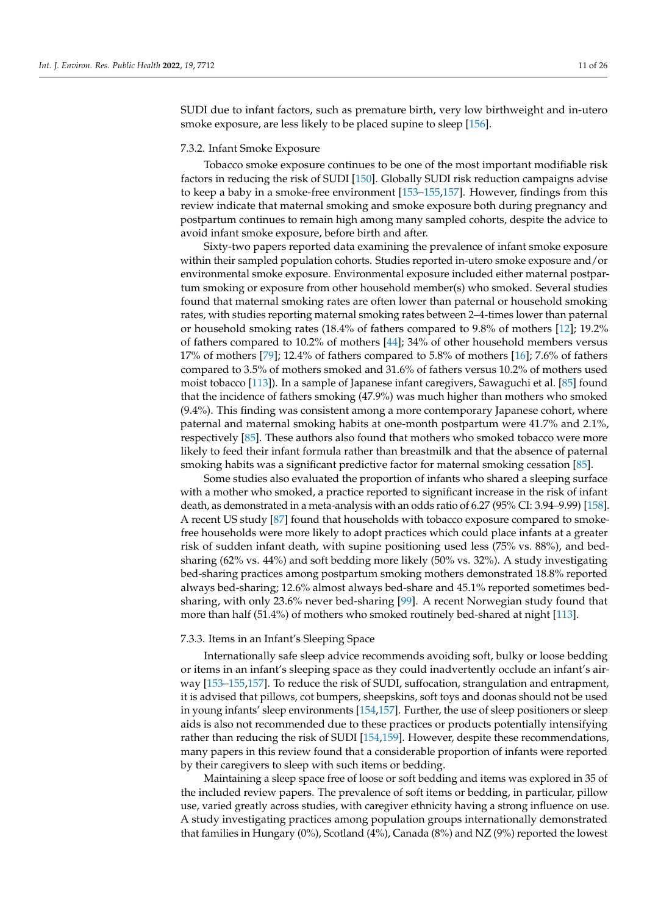SUDI due to infant factors, such as premature birth, very low birthweight and in-utero smoke exposure, are less likely to be placed supine to sleep [\[156\]](#page-24-23).

#### 7.3.2. Infant Smoke Exposure

Tobacco smoke exposure continues to be one of the most important modifiable risk factors in reducing the risk of SUDI [\[150\]](#page-24-19). Globally SUDI risk reduction campaigns advise to keep a baby in a smoke-free environment [\[153](#page-24-21)[–155,](#page-24-22)[157\]](#page-24-24). However, findings from this review indicate that maternal smoking and smoke exposure both during pregnancy and postpartum continues to remain high among many sampled cohorts, despite the advice to avoid infant smoke exposure, before birth and after.

Sixty-two papers reported data examining the prevalence of infant smoke exposure within their sampled population cohorts. Studies reported in-utero smoke exposure and/or environmental smoke exposure. Environmental exposure included either maternal postpartum smoking or exposure from other household member(s) who smoked. Several studies found that maternal smoking rates are often lower than paternal or household smoking rates, with studies reporting maternal smoking rates between 2–4-times lower than paternal or household smoking rates (18.4% of fathers compared to 9.8% of mothers [\[12\]](#page-19-11); 19.2% of fathers compared to 10.2% of mothers [\[44\]](#page-20-12); 34% of other household members versus 17% of mothers [\[79\]](#page-22-2); 12.4% of fathers compared to 5.8% of mothers [\[16\]](#page-19-9); 7.6% of fathers compared to 3.5% of mothers smoked and 31.6% of fathers versus 10.2% of mothers used moist tobacco [\[113\]](#page-23-10)). In a sample of Japanese infant caregivers, Sawaguchi et al. [\[85\]](#page-22-8) found that the incidence of fathers smoking (47.9%) was much higher than mothers who smoked (9.4%). This finding was consistent among a more contemporary Japanese cohort, where paternal and maternal smoking habits at one-month postpartum were 41.7% and 2.1%, respectively [\[85\]](#page-22-8). These authors also found that mothers who smoked tobacco were more likely to feed their infant formula rather than breastmilk and that the absence of paternal smoking habits was a significant predictive factor for maternal smoking cessation [\[85\]](#page-22-8).

Some studies also evaluated the proportion of infants who shared a sleeping surface with a mother who smoked, a practice reported to significant increase in the risk of infant death, as demonstrated in a meta-analysis with an odds ratio of 6.27 (95% CI: 3.94–9.99) [\[158\]](#page-25-0). A recent US study [\[87\]](#page-22-10) found that households with tobacco exposure compared to smokefree households were more likely to adopt practices which could place infants at a greater risk of sudden infant death, with supine positioning used less (75% vs. 88%), and bedsharing (62% vs. 44%) and soft bedding more likely (50% vs. 32%). A study investigating bed-sharing practices among postpartum smoking mothers demonstrated 18.8% reported always bed-sharing; 12.6% almost always bed-share and 45.1% reported sometimes bedsharing, with only 23.6% never bed-sharing [\[99\]](#page-22-22). A recent Norwegian study found that more than half (51.4%) of mothers who smoked routinely bed-shared at night [\[113\]](#page-23-10).

#### 7.3.3. Items in an Infant's Sleeping Space

Internationally safe sleep advice recommends avoiding soft, bulky or loose bedding or items in an infant's sleeping space as they could inadvertently occlude an infant's airway [\[153](#page-24-21)[–155](#page-24-22)[,157\]](#page-24-24). To reduce the risk of SUDI, suffocation, strangulation and entrapment, it is advised that pillows, cot bumpers, sheepskins, soft toys and doonas should not be used in young infants' sleep environments [\[154](#page-24-25)[,157\]](#page-24-24). Further, the use of sleep positioners or sleep aids is also not recommended due to these practices or products potentially intensifying rather than reducing the risk of SUDI [\[154](#page-24-25)[,159\]](#page-25-1). However, despite these recommendations, many papers in this review found that a considerable proportion of infants were reported by their caregivers to sleep with such items or bedding.

Maintaining a sleep space free of loose or soft bedding and items was explored in 35 of the included review papers. The prevalence of soft items or bedding, in particular, pillow use, varied greatly across studies, with caregiver ethnicity having a strong influence on use. A study investigating practices among population groups internationally demonstrated that families in Hungary (0%), Scotland (4%), Canada (8%) and NZ (9%) reported the lowest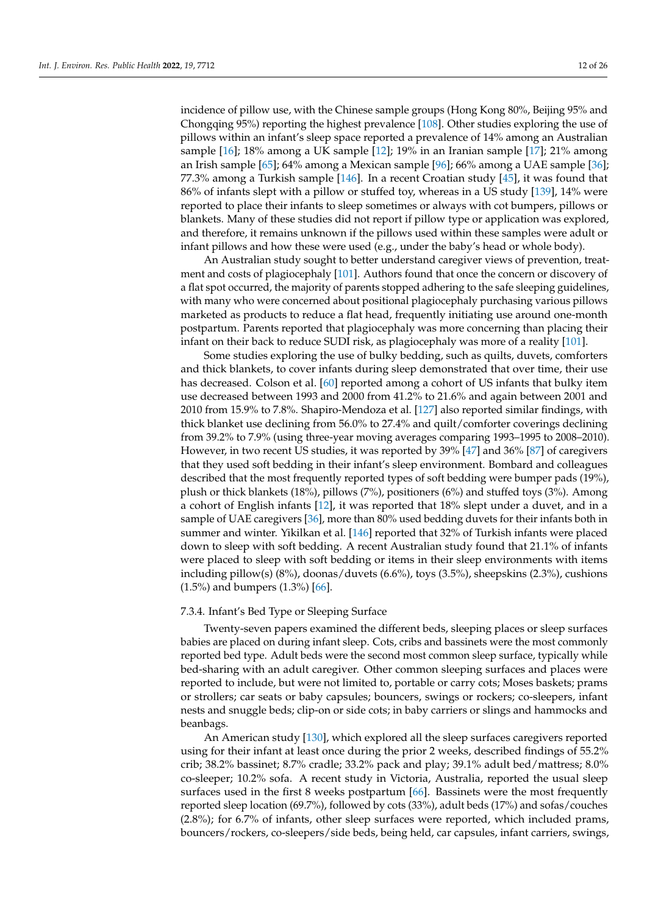incidence of pillow use, with the Chinese sample groups (Hong Kong 80%, Beijing 95% and Chongqing 95%) reporting the highest prevalence [\[108\]](#page-23-5). Other studies exploring the use of pillows within an infant's sleep space reported a prevalence of 14% among an Australian sample [\[16\]](#page-19-9); 18% among a UK sample [\[12\]](#page-19-11); 19% in an Iranian sample [\[17\]](#page-19-10); 21% among an Irish sample [\[65\]](#page-21-16); 64% among a Mexican sample [\[96\]](#page-22-19); 66% among a UAE sample [\[36\]](#page-20-3); 77.3% among a Turkish sample [\[146\]](#page-24-15). In a recent Croatian study [\[45\]](#page-20-13), it was found that 86% of infants slept with a pillow or stuffed toy, whereas in a US study [\[139\]](#page-24-8), 14% were reported to place their infants to sleep sometimes or always with cot bumpers, pillows or blankets. Many of these studies did not report if pillow type or application was explored, and therefore, it remains unknown if the pillows used within these samples were adult or infant pillows and how these were used (e.g., under the baby's head or whole body).

An Australian study sought to better understand caregiver views of prevention, treatment and costs of plagiocephaly [\[101\]](#page-22-24). Authors found that once the concern or discovery of a flat spot occurred, the majority of parents stopped adhering to the safe sleeping guidelines, with many who were concerned about positional plagiocephaly purchasing various pillows marketed as products to reduce a flat head, frequently initiating use around one-month postpartum. Parents reported that plagiocephaly was more concerning than placing their infant on their back to reduce SUDI risk, as plagiocephaly was more of a reality [\[101\]](#page-22-24).

Some studies exploring the use of bulky bedding, such as quilts, duvets, comforters and thick blankets, to cover infants during sleep demonstrated that over time, their use has decreased. Colson et al. [\[60\]](#page-21-11) reported among a cohort of US infants that bulky item use decreased between 1993 and 2000 from 41.2% to 21.6% and again between 2001 and 2010 from 15.9% to 7.8%. Shapiro-Mendoza et al. [\[127\]](#page-23-24) also reported similar findings, with thick blanket use declining from 56.0% to 27.4% and quilt/comforter coverings declining from 39.2% to 7.9% (using three-year moving averages comparing 1993–1995 to 2008–2010). However, in two recent US studies, it was reported by 39% [\[47\]](#page-20-15) and 36% [\[87\]](#page-22-10) of caregivers that they used soft bedding in their infant's sleep environment. Bombard and colleagues described that the most frequently reported types of soft bedding were bumper pads (19%), plush or thick blankets (18%), pillows (7%), positioners (6%) and stuffed toys (3%). Among a cohort of English infants [\[12\]](#page-19-11), it was reported that 18% slept under a duvet, and in a sample of UAE caregivers [\[36\]](#page-20-3), more than 80% used bedding duvets for their infants both in summer and winter. Yikilkan et al. [\[146\]](#page-24-15) reported that 32% of Turkish infants were placed down to sleep with soft bedding. A recent Australian study found that 21.1% of infants were placed to sleep with soft bedding or items in their sleep environments with items including pillow(s) (8%), doonas/duvets (6.6%), toys (3.5%), sheepskins (2.3%), cushions (1.5%) and bumpers (1.3%) [\[66\]](#page-21-17).

# 7.3.4. Infant's Bed Type or Sleeping Surface

Twenty-seven papers examined the different beds, sleeping places or sleep surfaces babies are placed on during infant sleep. Cots, cribs and bassinets were the most commonly reported bed type. Adult beds were the second most common sleep surface, typically while bed-sharing with an adult caregiver. Other common sleeping surfaces and places were reported to include, but were not limited to, portable or carry cots; Moses baskets; prams or strollers; car seats or baby capsules; bouncers, swings or rockers; co-sleepers, infant nests and snuggle beds; clip-on or side cots; in baby carriers or slings and hammocks and beanbags.

An American study [\[130\]](#page-23-27), which explored all the sleep surfaces caregivers reported using for their infant at least once during the prior 2 weeks, described findings of 55.2% crib; 38.2% bassinet; 8.7% cradle; 33.2% pack and play; 39.1% adult bed/mattress; 8.0% co-sleeper; 10.2% sofa. A recent study in Victoria, Australia, reported the usual sleep surfaces used in the first 8 weeks postpartum [\[66\]](#page-21-17). Bassinets were the most frequently reported sleep location (69.7%), followed by cots (33%), adult beds (17%) and sofas/couches (2.8%); for 6.7% of infants, other sleep surfaces were reported, which included prams, bouncers/rockers, co-sleepers/side beds, being held, car capsules, infant carriers, swings,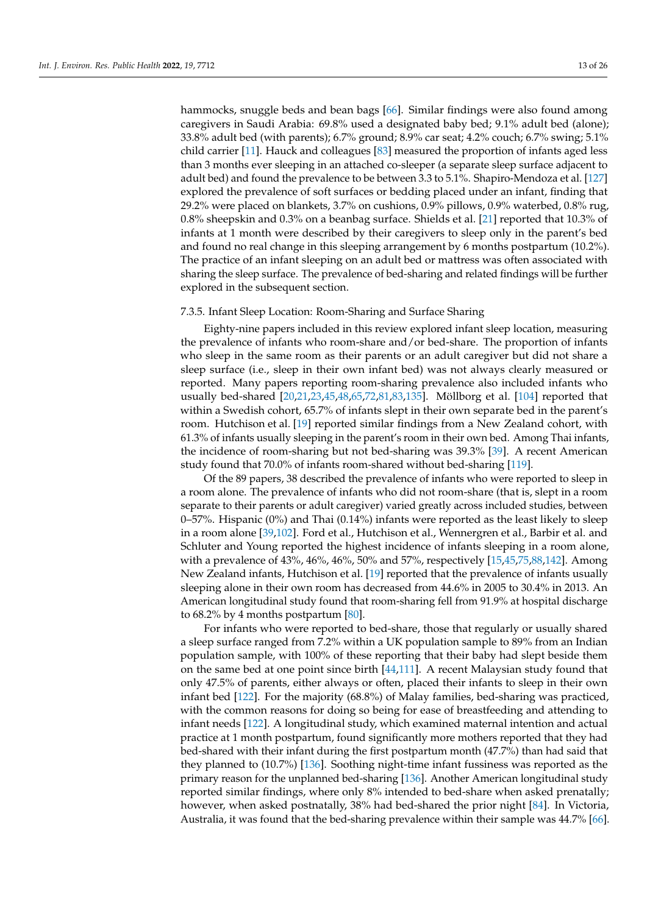hammocks, snuggle beds and bean bags [\[66\]](#page-21-17). Similar findings were also found among caregivers in Saudi Arabia: 69.8% used a designated baby bed; 9.1% adult bed (alone); 33.8% adult bed (with parents); 6.7% ground; 8.9% car seat; 4.2% couch; 6.7% swing; 5.1% child carrier [\[11\]](#page-19-8). Hauck and colleagues [\[83\]](#page-22-6) measured the proportion of infants aged less than 3 months ever sleeping in an attached co-sleeper (a separate sleep surface adjacent to adult bed) and found the prevalence to be between 3.3 to 5.1%. Shapiro-Mendoza et al. [\[127\]](#page-23-24) explored the prevalence of soft surfaces or bedding placed under an infant, finding that 29.2% were placed on blankets, 3.7% on cushions, 0.9% pillows, 0.9% waterbed, 0.8% rug, 0.8% sheepskin and 0.3% on a beanbag surface. Shields et al. [\[21\]](#page-20-25) reported that 10.3% of infants at 1 month were described by their caregivers to sleep only in the parent's bed and found no real change in this sleeping arrangement by 6 months postpartum (10.2%). The practice of an infant sleeping on an adult bed or mattress was often associated with sharing the sleep surface. The prevalence of bed-sharing and related findings will be further explored in the subsequent section.

#### 7.3.5. Infant Sleep Location: Room-Sharing and Surface Sharing

Eighty-nine papers included in this review explored infant sleep location, measuring the prevalence of infants who room-share and/or bed-share. The proportion of infants who sleep in the same room as their parents or an adult caregiver but did not share a sleep surface (i.e., sleep in their own infant bed) was not always clearly measured or reported. Many papers reporting room-sharing prevalence also included infants who usually bed-shared [\[20](#page-20-24)[,21](#page-20-25)[,23](#page-20-26)[,45](#page-20-13)[,48](#page-20-16)[,65](#page-21-16)[,72](#page-21-23)[,81](#page-22-4)[,83](#page-22-6)[,135\]](#page-24-4). Möllborg et al. [\[104\]](#page-23-1) reported that within a Swedish cohort, 65.7% of infants slept in their own separate bed in the parent's room. Hutchison et al. [\[19\]](#page-19-14) reported similar findings from a New Zealand cohort, with 61.3% of infants usually sleeping in the parent's room in their own bed. Among Thai infants, the incidence of room-sharing but not bed-sharing was 39.3% [\[39\]](#page-20-7). A recent American study found that 70.0% of infants room-shared without bed-sharing [\[119\]](#page-23-16).

Of the 89 papers, 38 described the prevalence of infants who were reported to sleep in a room alone. The prevalence of infants who did not room-share (that is, slept in a room separate to their parents or adult caregiver) varied greatly across included studies, between 0–57%. Hispanic (0%) and Thai (0.14%) infants were reported as the least likely to sleep in a room alone [\[39](#page-20-7)[,102\]](#page-22-25). Ford et al., Hutchison et al., Wennergren et al., Barbir et al. and Schluter and Young reported the highest incidence of infants sleeping in a room alone, with a prevalence of 43%, 46%, 46%, 50% and 57%, respectively [\[15](#page-19-16)[,45](#page-20-13)[,75](#page-21-26)[,88](#page-22-11)[,142\]](#page-24-11). Among New Zealand infants, Hutchison et al. [\[19\]](#page-19-14) reported that the prevalence of infants usually sleeping alone in their own room has decreased from 44.6% in 2005 to 30.4% in 2013. An American longitudinal study found that room-sharing fell from 91.9% at hospital discharge to 68.2% by 4 months postpartum [\[80\]](#page-22-3).

For infants who were reported to bed-share, those that regularly or usually shared a sleep surface ranged from 7.2% within a UK population sample to 89% from an Indian population sample, with 100% of these reporting that their baby had slept beside them on the same bed at one point since birth [\[44,](#page-20-12)[111\]](#page-23-8). A recent Malaysian study found that only 47.5% of parents, either always or often, placed their infants to sleep in their own infant bed [\[122\]](#page-23-19). For the majority (68.8%) of Malay families, bed-sharing was practiced, with the common reasons for doing so being for ease of breastfeeding and attending to infant needs [\[122\]](#page-23-19). A longitudinal study, which examined maternal intention and actual practice at 1 month postpartum, found significantly more mothers reported that they had bed-shared with their infant during the first postpartum month (47.7%) than had said that they planned to (10.7%) [\[136\]](#page-24-5). Soothing night-time infant fussiness was reported as the primary reason for the unplanned bed-sharing [\[136\]](#page-24-5). Another American longitudinal study reported similar findings, where only 8% intended to bed-share when asked prenatally; however, when asked postnatally, 38% had bed-shared the prior night [\[84\]](#page-22-7). In Victoria, Australia, it was found that the bed-sharing prevalence within their sample was 44.7% [\[66\]](#page-21-17).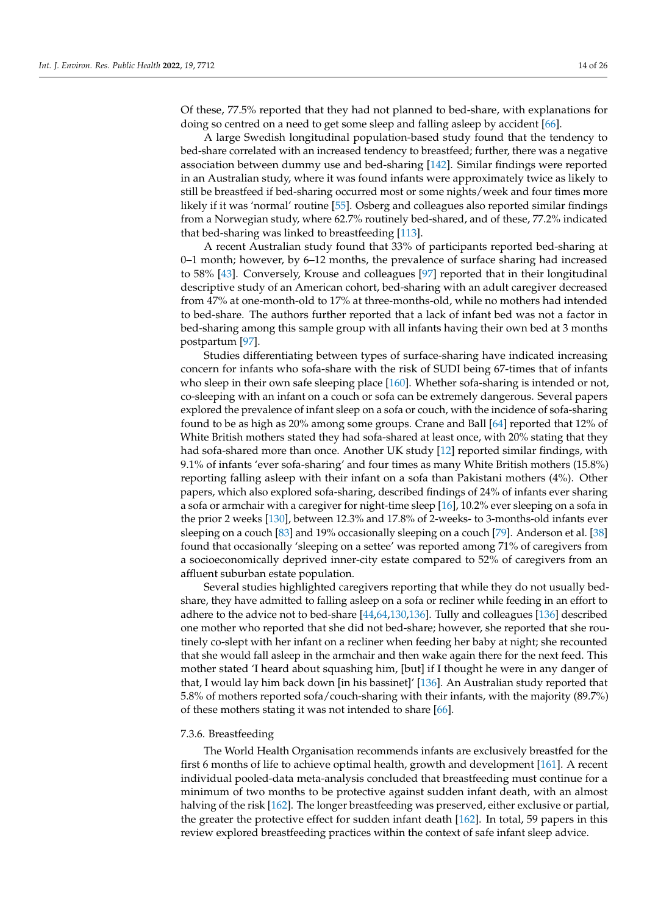Of these, 77.5% reported that they had not planned to bed-share, with explanations for doing so centred on a need to get some sleep and falling asleep by accident [\[66\]](#page-21-17).

A large Swedish longitudinal population-based study found that the tendency to bed-share correlated with an increased tendency to breastfeed; further, there was a negative association between dummy use and bed-sharing [\[142\]](#page-24-11). Similar findings were reported in an Australian study, where it was found infants were approximately twice as likely to still be breastfeed if bed-sharing occurred most or some nights/week and four times more likely if it was 'normal' routine [\[55\]](#page-21-6). Osberg and colleagues also reported similar findings from a Norwegian study, where 62.7% routinely bed-shared, and of these, 77.2% indicated that bed-sharing was linked to breastfeeding [\[113\]](#page-23-10).

A recent Australian study found that 33% of participants reported bed-sharing at 0–1 month; however, by 6–12 months, the prevalence of surface sharing had increased to 58% [\[43\]](#page-20-11). Conversely, Krouse and colleagues [\[97\]](#page-22-20) reported that in their longitudinal descriptive study of an American cohort, bed-sharing with an adult caregiver decreased from 47% at one-month-old to 17% at three-months-old, while no mothers had intended to bed-share. The authors further reported that a lack of infant bed was not a factor in bed-sharing among this sample group with all infants having their own bed at 3 months postpartum [\[97\]](#page-22-20).

Studies differentiating between types of surface-sharing have indicated increasing concern for infants who sofa-share with the risk of SUDI being 67-times that of infants who sleep in their own safe sleeping place [\[160\]](#page-25-2). Whether sofa-sharing is intended or not, co-sleeping with an infant on a couch or sofa can be extremely dangerous. Several papers explored the prevalence of infant sleep on a sofa or couch, with the incidence of sofa-sharing found to be as high as 20% among some groups. Crane and Ball [\[64\]](#page-21-15) reported that 12% of White British mothers stated they had sofa-shared at least once, with 20% stating that they had sofa-shared more than once. Another UK study [\[12\]](#page-19-11) reported similar findings, with 9.1% of infants 'ever sofa-sharing' and four times as many White British mothers (15.8%) reporting falling asleep with their infant on a sofa than Pakistani mothers (4%). Other papers, which also explored sofa-sharing, described findings of 24% of infants ever sharing a sofa or armchair with a caregiver for night-time sleep [\[16\]](#page-19-9), 10.2% ever sleeping on a sofa in the prior 2 weeks [\[130\]](#page-23-27), between 12.3% and 17.8% of 2-weeks- to 3-months-old infants ever sleeping on a couch [\[83\]](#page-22-6) and 19% occasionally sleeping on a couch [\[79\]](#page-22-2). Anderson et al. [\[38\]](#page-20-6) found that occasionally 'sleeping on a settee' was reported among 71% of caregivers from a socioeconomically deprived inner-city estate compared to 52% of caregivers from an affluent suburban estate population.

Several studies highlighted caregivers reporting that while they do not usually bedshare, they have admitted to falling asleep on a sofa or recliner while feeding in an effort to adhere to the advice not to bed-share [\[44,](#page-20-12)[64,](#page-21-15)[130,](#page-23-27)[136\]](#page-24-5). Tully and colleagues [\[136\]](#page-24-5) described one mother who reported that she did not bed-share; however, she reported that she routinely co-slept with her infant on a recliner when feeding her baby at night; she recounted that she would fall asleep in the armchair and then wake again there for the next feed. This mother stated 'I heard about squashing him, [but] if I thought he were in any danger of that, I would lay him back down [in his bassinet]' [\[136\]](#page-24-5). An Australian study reported that 5.8% of mothers reported sofa/couch-sharing with their infants, with the majority (89.7%) of these mothers stating it was not intended to share [\[66\]](#page-21-17).

#### 7.3.6. Breastfeeding

The World Health Organisation recommends infants are exclusively breastfed for the first 6 months of life to achieve optimal health, growth and development [\[161\]](#page-25-3). A recent individual pooled-data meta-analysis concluded that breastfeeding must continue for a minimum of two months to be protective against sudden infant death, with an almost halving of the risk [\[162\]](#page-25-4). The longer breastfeeding was preserved, either exclusive or partial, the greater the protective effect for sudden infant death [\[162\]](#page-25-4). In total, 59 papers in this review explored breastfeeding practices within the context of safe infant sleep advice.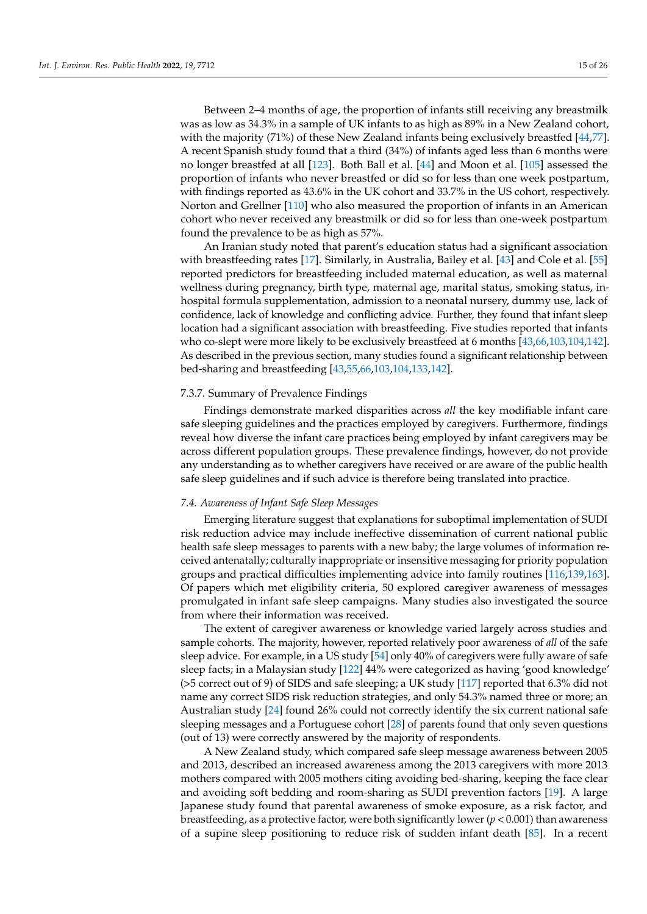Between 2–4 months of age, the proportion of infants still receiving any breastmilk was as low as 34.3% in a sample of UK infants to as high as 89% in a New Zealand cohort, with the majority (71%) of these New Zealand infants being exclusively breastfed [\[44,](#page-20-12)[77\]](#page-22-0). A recent Spanish study found that a third (34%) of infants aged less than 6 months were no longer breastfed at all [\[123\]](#page-23-20). Both Ball et al. [\[44\]](#page-20-12) and Moon et al. [\[105\]](#page-23-2) assessed the proportion of infants who never breastfed or did so for less than one week postpartum, with findings reported as 43.6% in the UK cohort and 33.7% in the US cohort, respectively. Norton and Grellner [\[110\]](#page-23-7) who also measured the proportion of infants in an American cohort who never received any breastmilk or did so for less than one-week postpartum found the prevalence to be as high as 57%.

An Iranian study noted that parent's education status had a significant association with breastfeeding rates [\[17\]](#page-19-10). Similarly, in Australia, Bailey et al. [\[43\]](#page-20-11) and Cole et al. [\[55\]](#page-21-6) reported predictors for breastfeeding included maternal education, as well as maternal wellness during pregnancy, birth type, maternal age, marital status, smoking status, inhospital formula supplementation, admission to a neonatal nursery, dummy use, lack of confidence, lack of knowledge and conflicting advice. Further, they found that infant sleep location had a significant association with breastfeeding. Five studies reported that infants who co-slept were more likely to be exclusively breastfeed at 6 months [\[43,](#page-20-11)[66](#page-21-17)[,103](#page-23-0)[,104,](#page-23-1)[142\]](#page-24-11). As described in the previous section, many studies found a significant relationship between bed-sharing and breastfeeding [\[43,](#page-20-11)[55](#page-21-6)[,66](#page-21-17)[,103](#page-23-0)[,104](#page-23-1)[,133,](#page-24-2)[142\]](#page-24-11).

#### 7.3.7. Summary of Prevalence Findings

Findings demonstrate marked disparities across *all* the key modifiable infant care safe sleeping guidelines and the practices employed by caregivers. Furthermore, findings reveal how diverse the infant care practices being employed by infant caregivers may be across different population groups. These prevalence findings, however, do not provide any understanding as to whether caregivers have received or are aware of the public health safe sleep guidelines and if such advice is therefore being translated into practice.

# *7.4. Awareness of Infant Safe Sleep Messages*

Emerging literature suggest that explanations for suboptimal implementation of SUDI risk reduction advice may include ineffective dissemination of current national public health safe sleep messages to parents with a new baby; the large volumes of information received antenatally; culturally inappropriate or insensitive messaging for priority population groups and practical difficulties implementing advice into family routines [\[116,](#page-23-13)[139,](#page-24-8)[163\]](#page-25-5). Of papers which met eligibility criteria, 50 explored caregiver awareness of messages promulgated in infant safe sleep campaigns. Many studies also investigated the source from where their information was received.

The extent of caregiver awareness or knowledge varied largely across studies and sample cohorts. The majority, however, reported relatively poor awareness of *all* of the safe sleep advice. For example, in a US study [\[54\]](#page-21-5) only 40% of caregivers were fully aware of safe sleep facts; in a Malaysian study [\[122\]](#page-23-19) 44% were categorized as having 'good knowledge' (>5 correct out of 9) of SIDS and safe sleeping; a UK study [\[117\]](#page-23-14) reported that 6.3% did not name any correct SIDS risk reduction strategies, and only 54.3% named three or more; an Australian study [\[24\]](#page-20-17) found 26% could not correctly identify the six current national safe sleeping messages and a Portuguese cohort [\[28\]](#page-20-18) of parents found that only seven questions (out of 13) were correctly answered by the majority of respondents.

A New Zealand study, which compared safe sleep message awareness between 2005 and 2013, described an increased awareness among the 2013 caregivers with more 2013 mothers compared with 2005 mothers citing avoiding bed-sharing, keeping the face clear and avoiding soft bedding and room-sharing as SUDI prevention factors [\[19\]](#page-19-14). A large Japanese study found that parental awareness of smoke exposure, as a risk factor, and breastfeeding, as a protective factor, were both significantly lower (*p* < 0.001) than awareness of a supine sleep positioning to reduce risk of sudden infant death [\[85\]](#page-22-8). In a recent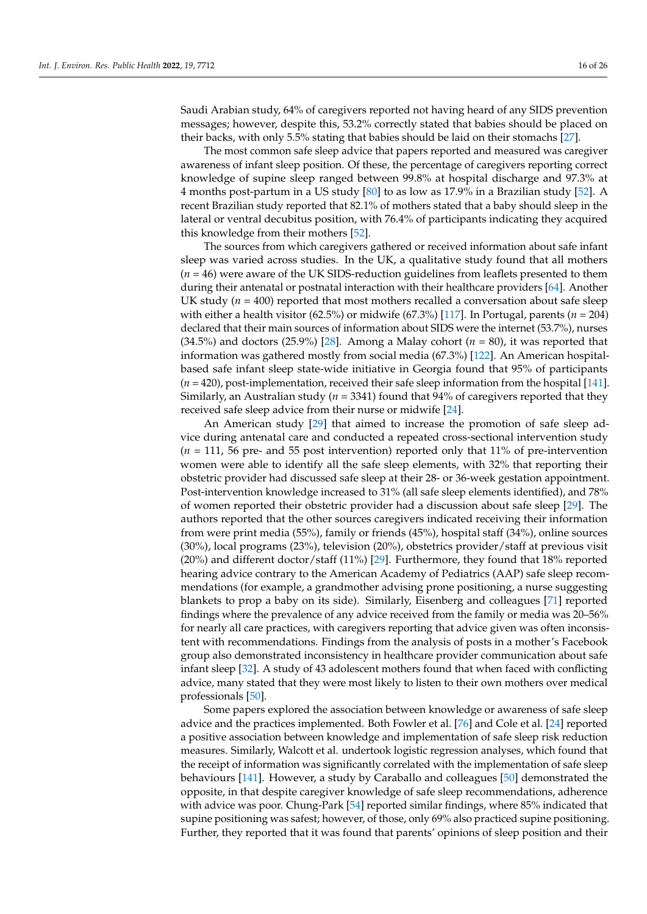Saudi Arabian study, 64% of caregivers reported not having heard of any SIDS prevention messages; however, despite this, 53.2% correctly stated that babies should be placed on their backs, with only 5.5% stating that babies should be laid on their stomachs [\[27\]](#page-20-5).

The most common safe sleep advice that papers reported and measured was caregiver awareness of infant sleep position. Of these, the percentage of caregivers reporting correct knowledge of supine sleep ranged between 99.8% at hospital discharge and 97.3% at 4 months post-partum in a US study [\[80\]](#page-22-3) to as low as 17.9% in a Brazilian study [\[52\]](#page-21-3). A recent Brazilian study reported that 82.1% of mothers stated that a baby should sleep in the lateral or ventral decubitus position, with 76.4% of participants indicating they acquired this knowledge from their mothers [\[52\]](#page-21-3).

The sources from which caregivers gathered or received information about safe infant sleep was varied across studies. In the UK, a qualitative study found that all mothers  $(n = 46)$  were aware of the UK SIDS-reduction guidelines from leaflets presented to them during their antenatal or postnatal interaction with their healthcare providers [\[64\]](#page-21-15). Another UK study ( $n = 400$ ) reported that most mothers recalled a conversation about safe sleep with either a health visitor (62.5%) or midwife (67.3%) [\[117\]](#page-23-14). In Portugal, parents (*n* = 204) declared that their main sources of information about SIDS were the internet (53.7%), nurses (34.5%) and doctors (25.9%) [\[28\]](#page-20-18). Among a Malay cohort (*n* = 80), it was reported that information was gathered mostly from social media (67.3%) [\[122\]](#page-23-19). An American hospitalbased safe infant sleep state-wide initiative in Georgia found that 95% of participants (*n* = 420), post-implementation, received their safe sleep information from the hospital [\[141\]](#page-24-10). Similarly, an Australian study (*n* = 3341) found that 94% of caregivers reported that they received safe sleep advice from their nurse or midwife [\[24\]](#page-20-17).

An American study [\[29\]](#page-20-19) that aimed to increase the promotion of safe sleep advice during antenatal care and conducted a repeated cross-sectional intervention study (*n* = 111, 56 pre- and 55 post intervention) reported only that 11% of pre-intervention women were able to identify all the safe sleep elements, with 32% that reporting their obstetric provider had discussed safe sleep at their 28- or 36-week gestation appointment. Post-intervention knowledge increased to 31% (all safe sleep elements identified), and 78% of women reported their obstetric provider had a discussion about safe sleep [\[29\]](#page-20-19). The authors reported that the other sources caregivers indicated receiving their information from were print media (55%), family or friends (45%), hospital staff (34%), online sources (30%), local programs (23%), television (20%), obstetrics provider/staff at previous visit (20%) and different doctor/staff (11%) [\[29\]](#page-20-19). Furthermore, they found that 18% reported hearing advice contrary to the American Academy of Pediatrics (AAP) safe sleep recommendations (for example, a grandmother advising prone positioning, a nurse suggesting blankets to prop a baby on its side). Similarly, Eisenberg and colleagues [\[71\]](#page-21-22) reported findings where the prevalence of any advice received from the family or media was 20–56% for nearly all care practices, with caregivers reporting that advice given was often inconsistent with recommendations. Findings from the analysis of posts in a mother's Facebook group also demonstrated inconsistency in healthcare provider communication about safe infant sleep [\[32\]](#page-20-22). A study of 43 adolescent mothers found that when faced with conflicting advice, many stated that they were most likely to listen to their own mothers over medical professionals [\[50\]](#page-21-1).

Some papers explored the association between knowledge or awareness of safe sleep advice and the practices implemented. Both Fowler et al. [\[76\]](#page-21-27) and Cole et al. [\[24\]](#page-20-17) reported a positive association between knowledge and implementation of safe sleep risk reduction measures. Similarly, Walcott et al. undertook logistic regression analyses, which found that the receipt of information was significantly correlated with the implementation of safe sleep behaviours [\[141\]](#page-24-10). However, a study by Caraballo and colleagues [\[50\]](#page-21-1) demonstrated the opposite, in that despite caregiver knowledge of safe sleep recommendations, adherence with advice was poor. Chung-Park [\[54\]](#page-21-5) reported similar findings, where 85% indicated that supine positioning was safest; however, of those, only 69% also practiced supine positioning. Further, they reported that it was found that parents' opinions of sleep position and their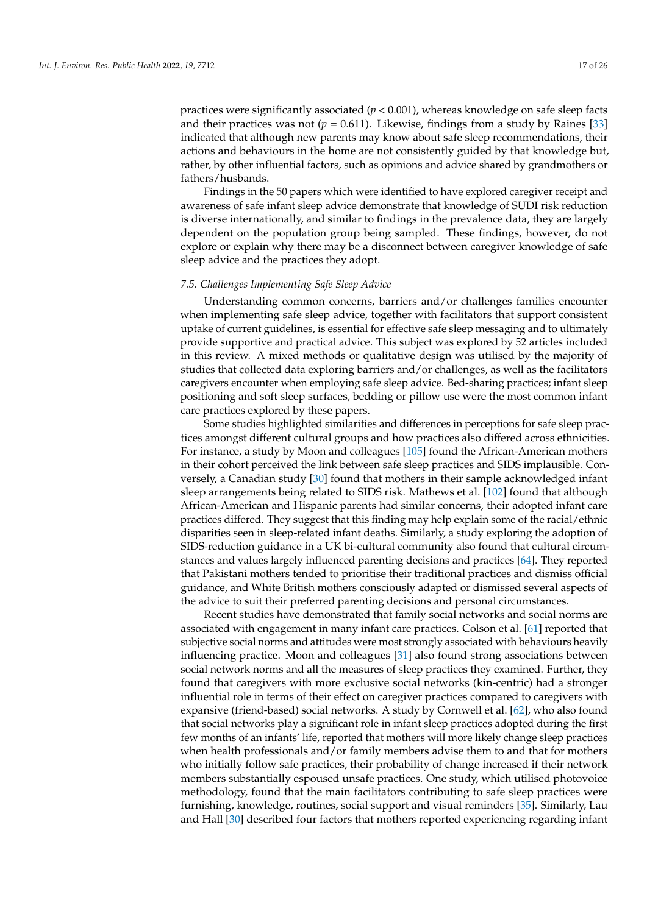practices were significantly associated (*p* < 0.001), whereas knowledge on safe sleep facts and their practices was not  $(p = 0.611)$ . Likewise, findings from a study by Raines [\[33\]](#page-20-23) indicated that although new parents may know about safe sleep recommendations, their actions and behaviours in the home are not consistently guided by that knowledge but, rather, by other influential factors, such as opinions and advice shared by grandmothers or fathers/husbands.

Findings in the 50 papers which were identified to have explored caregiver receipt and awareness of safe infant sleep advice demonstrate that knowledge of SUDI risk reduction is diverse internationally, and similar to findings in the prevalence data, they are largely dependent on the population group being sampled. These findings, however, do not explore or explain why there may be a disconnect between caregiver knowledge of safe sleep advice and the practices they adopt.

#### *7.5. Challenges Implementing Safe Sleep Advice*

Understanding common concerns, barriers and/or challenges families encounter when implementing safe sleep advice, together with facilitators that support consistent uptake of current guidelines, is essential for effective safe sleep messaging and to ultimately provide supportive and practical advice. This subject was explored by 52 articles included in this review. A mixed methods or qualitative design was utilised by the majority of studies that collected data exploring barriers and/or challenges, as well as the facilitators caregivers encounter when employing safe sleep advice. Bed-sharing practices; infant sleep positioning and soft sleep surfaces, bedding or pillow use were the most common infant care practices explored by these papers.

Some studies highlighted similarities and differences in perceptions for safe sleep practices amongst different cultural groups and how practices also differed across ethnicities. For instance, a study by Moon and colleagues [\[105\]](#page-23-2) found the African-American mothers in their cohort perceived the link between safe sleep practices and SIDS implausible. Conversely, a Canadian study [\[30\]](#page-20-20) found that mothers in their sample acknowledged infant sleep arrangements being related to SIDS risk. Mathews et al. [\[102\]](#page-22-25) found that although African-American and Hispanic parents had similar concerns, their adopted infant care practices differed. They suggest that this finding may help explain some of the racial/ethnic disparities seen in sleep-related infant deaths. Similarly, a study exploring the adoption of SIDS-reduction guidance in a UK bi-cultural community also found that cultural circumstances and values largely influenced parenting decisions and practices [\[64\]](#page-21-15). They reported that Pakistani mothers tended to prioritise their traditional practices and dismiss official guidance, and White British mothers consciously adapted or dismissed several aspects of the advice to suit their preferred parenting decisions and personal circumstances.

Recent studies have demonstrated that family social networks and social norms are associated with engagement in many infant care practices. Colson et al. [\[61\]](#page-21-12) reported that subjective social norms and attitudes were most strongly associated with behaviours heavily influencing practice. Moon and colleagues [\[31\]](#page-20-21) also found strong associations between social network norms and all the measures of sleep practices they examined. Further, they found that caregivers with more exclusive social networks (kin-centric) had a stronger influential role in terms of their effect on caregiver practices compared to caregivers with expansive (friend-based) social networks. A study by Cornwell et al. [\[62\]](#page-21-13), who also found that social networks play a significant role in infant sleep practices adopted during the first few months of an infants' life, reported that mothers will more likely change sleep practices when health professionals and/or family members advise them to and that for mothers who initially follow safe practices, their probability of change increased if their network members substantially espoused unsafe practices. One study, which utilised photovoice methodology, found that the main facilitators contributing to safe sleep practices were furnishing, knowledge, routines, social support and visual reminders [\[35\]](#page-20-2). Similarly, Lau and Hall [\[30\]](#page-20-20) described four factors that mothers reported experiencing regarding infant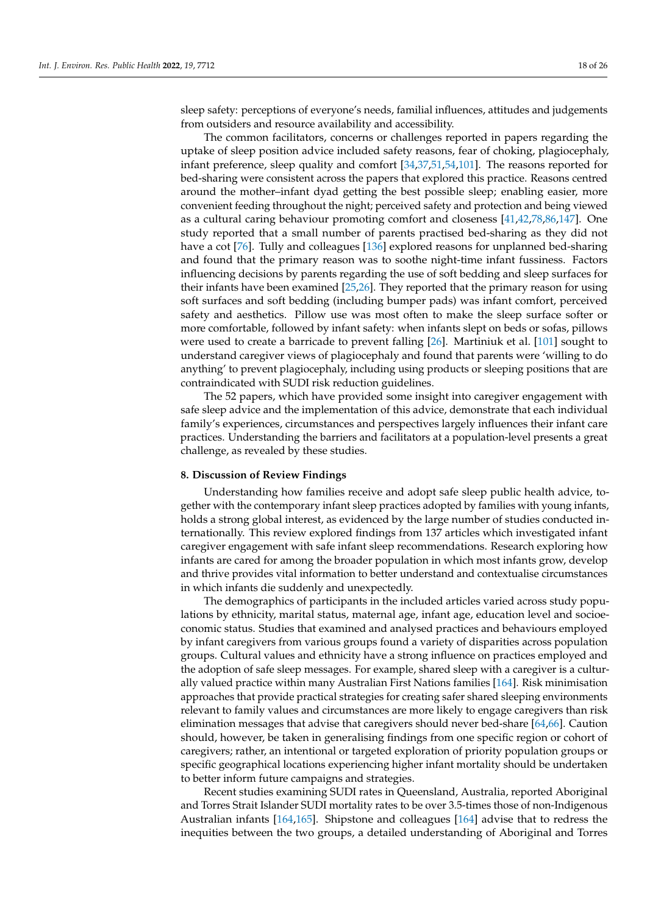sleep safety: perceptions of everyone's needs, familial influences, attitudes and judgements from outsiders and resource availability and accessibility.

The common facilitators, concerns or challenges reported in papers regarding the uptake of sleep position advice included safety reasons, fear of choking, plagiocephaly, infant preference, sleep quality and comfort [\[34](#page-20-27)[,37](#page-20-4)[,51](#page-21-2)[,54](#page-21-5)[,101\]](#page-22-24). The reasons reported for bed-sharing were consistent across the papers that explored this practice. Reasons centred around the mother–infant dyad getting the best possible sleep; enabling easier, more convenient feeding throughout the night; perceived safety and protection and being viewed as a cultural caring behaviour promoting comfort and closeness [\[41](#page-20-9)[,42](#page-20-10)[,78](#page-22-1)[,86,](#page-22-9)[147\]](#page-24-16). One study reported that a small number of parents practised bed-sharing as they did not have a cot [\[76\]](#page-21-27). Tully and colleagues [\[136\]](#page-24-5) explored reasons for unplanned bed-sharing and found that the primary reason was to soothe night-time infant fussiness. Factors influencing decisions by parents regarding the use of soft bedding and sleep surfaces for their infants have been examined [\[25](#page-20-0)[,26\]](#page-20-1). They reported that the primary reason for using soft surfaces and soft bedding (including bumper pads) was infant comfort, perceived safety and aesthetics. Pillow use was most often to make the sleep surface softer or more comfortable, followed by infant safety: when infants slept on beds or sofas, pillows were used to create a barricade to prevent falling [\[26\]](#page-20-1). Martiniuk et al. [\[101\]](#page-22-24) sought to understand caregiver views of plagiocephaly and found that parents were 'willing to do anything' to prevent plagiocephaly, including using products or sleeping positions that are contraindicated with SUDI risk reduction guidelines.

The 52 papers, which have provided some insight into caregiver engagement with safe sleep advice and the implementation of this advice, demonstrate that each individual family's experiences, circumstances and perspectives largely influences their infant care practices. Understanding the barriers and facilitators at a population-level presents a great challenge, as revealed by these studies.

#### **8. Discussion of Review Findings**

Understanding how families receive and adopt safe sleep public health advice, together with the contemporary infant sleep practices adopted by families with young infants, holds a strong global interest, as evidenced by the large number of studies conducted internationally. This review explored findings from 137 articles which investigated infant caregiver engagement with safe infant sleep recommendations. Research exploring how infants are cared for among the broader population in which most infants grow, develop and thrive provides vital information to better understand and contextualise circumstances in which infants die suddenly and unexpectedly.

The demographics of participants in the included articles varied across study populations by ethnicity, marital status, maternal age, infant age, education level and socioeconomic status. Studies that examined and analysed practices and behaviours employed by infant caregivers from various groups found a variety of disparities across population groups. Cultural values and ethnicity have a strong influence on practices employed and the adoption of safe sleep messages. For example, shared sleep with a caregiver is a culturally valued practice within many Australian First Nations families [\[164\]](#page-25-6). Risk minimisation approaches that provide practical strategies for creating safer shared sleeping environments relevant to family values and circumstances are more likely to engage caregivers than risk elimination messages that advise that caregivers should never bed-share [\[64](#page-21-15)[,66\]](#page-21-17). Caution should, however, be taken in generalising findings from one specific region or cohort of caregivers; rather, an intentional or targeted exploration of priority population groups or specific geographical locations experiencing higher infant mortality should be undertaken to better inform future campaigns and strategies.

Recent studies examining SUDI rates in Queensland, Australia, reported Aboriginal and Torres Strait Islander SUDI mortality rates to be over 3.5-times those of non-Indigenous Australian infants [\[164](#page-25-6)[,165\]](#page-25-7). Shipstone and colleagues [\[164\]](#page-25-6) advise that to redress the inequities between the two groups, a detailed understanding of Aboriginal and Torres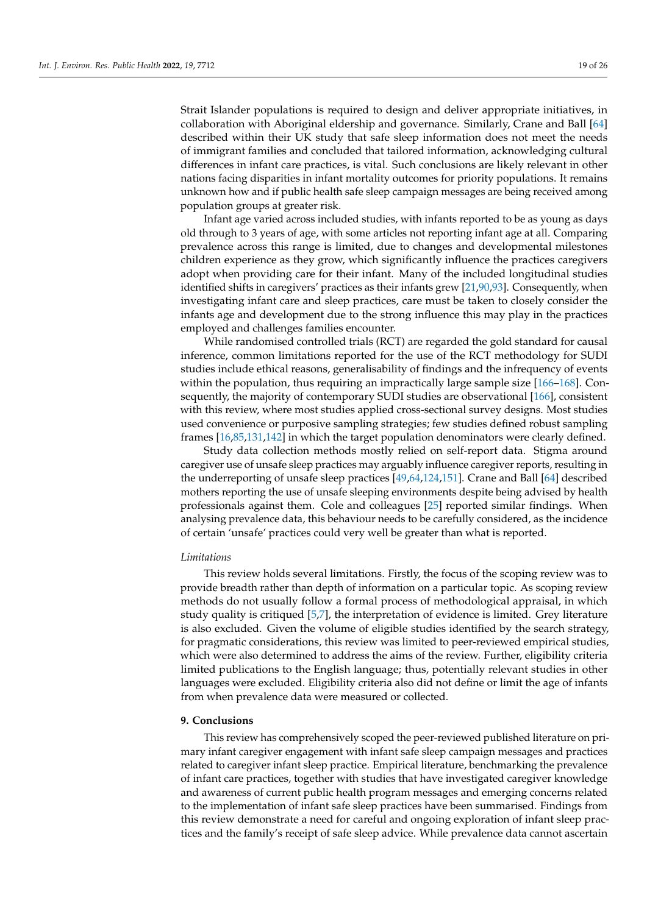Strait Islander populations is required to design and deliver appropriate initiatives, in collaboration with Aboriginal eldership and governance. Similarly, Crane and Ball [\[64\]](#page-21-15) described within their UK study that safe sleep information does not meet the needs of immigrant families and concluded that tailored information, acknowledging cultural differences in infant care practices, is vital. Such conclusions are likely relevant in other nations facing disparities in infant mortality outcomes for priority populations. It remains unknown how and if public health safe sleep campaign messages are being received among population groups at greater risk.

Infant age varied across included studies, with infants reported to be as young as days old through to 3 years of age, with some articles not reporting infant age at all. Comparing prevalence across this range is limited, due to changes and developmental milestones children experience as they grow, which significantly influence the practices caregivers adopt when providing care for their infant. Many of the included longitudinal studies identified shifts in caregivers' practices as their infants grew [\[21,](#page-20-25)[90,](#page-22-13)[93\]](#page-22-16). Consequently, when investigating infant care and sleep practices, care must be taken to closely consider the infants age and development due to the strong influence this may play in the practices employed and challenges families encounter.

While randomised controlled trials (RCT) are regarded the gold standard for causal inference, common limitations reported for the use of the RCT methodology for SUDI studies include ethical reasons, generalisability of findings and the infrequency of events within the population, thus requiring an impractically large sample size [\[166–](#page-25-8)[168\]](#page-25-9). Consequently, the majority of contemporary SUDI studies are observational [\[166\]](#page-25-8), consistent with this review, where most studies applied cross-sectional survey designs. Most studies used convenience or purposive sampling strategies; few studies defined robust sampling frames [\[16,](#page-19-9)[85,](#page-22-8)[131,](#page-24-0)[142\]](#page-24-11) in which the target population denominators were clearly defined.

Study data collection methods mostly relied on self-report data. Stigma around caregiver use of unsafe sleep practices may arguably influence caregiver reports, resulting in the underreporting of unsafe sleep practices [\[49](#page-21-0)[,64](#page-21-15)[,124,](#page-23-21)[151\]](#page-24-26). Crane and Ball [\[64\]](#page-21-15) described mothers reporting the use of unsafe sleeping environments despite being advised by health professionals against them. Cole and colleagues [\[25\]](#page-20-0) reported similar findings. When analysing prevalence data, this behaviour needs to be carefully considered, as the incidence of certain 'unsafe' practices could very well be greater than what is reported.

#### *Limitations*

This review holds several limitations. Firstly, the focus of the scoping review was to provide breadth rather than depth of information on a particular topic. As scoping review methods do not usually follow a formal process of methodological appraisal, in which study quality is critiqued [\[5](#page-19-3)[,7\]](#page-19-5), the interpretation of evidence is limited. Grey literature is also excluded. Given the volume of eligible studies identified by the search strategy, for pragmatic considerations, this review was limited to peer-reviewed empirical studies, which were also determined to address the aims of the review. Further, eligibility criteria limited publications to the English language; thus, potentially relevant studies in other languages were excluded. Eligibility criteria also did not define or limit the age of infants from when prevalence data were measured or collected.

#### **9. Conclusions**

This review has comprehensively scoped the peer-reviewed published literature on primary infant caregiver engagement with infant safe sleep campaign messages and practices related to caregiver infant sleep practice. Empirical literature, benchmarking the prevalence of infant care practices, together with studies that have investigated caregiver knowledge and awareness of current public health program messages and emerging concerns related to the implementation of infant safe sleep practices have been summarised. Findings from this review demonstrate a need for careful and ongoing exploration of infant sleep practices and the family's receipt of safe sleep advice. While prevalence data cannot ascertain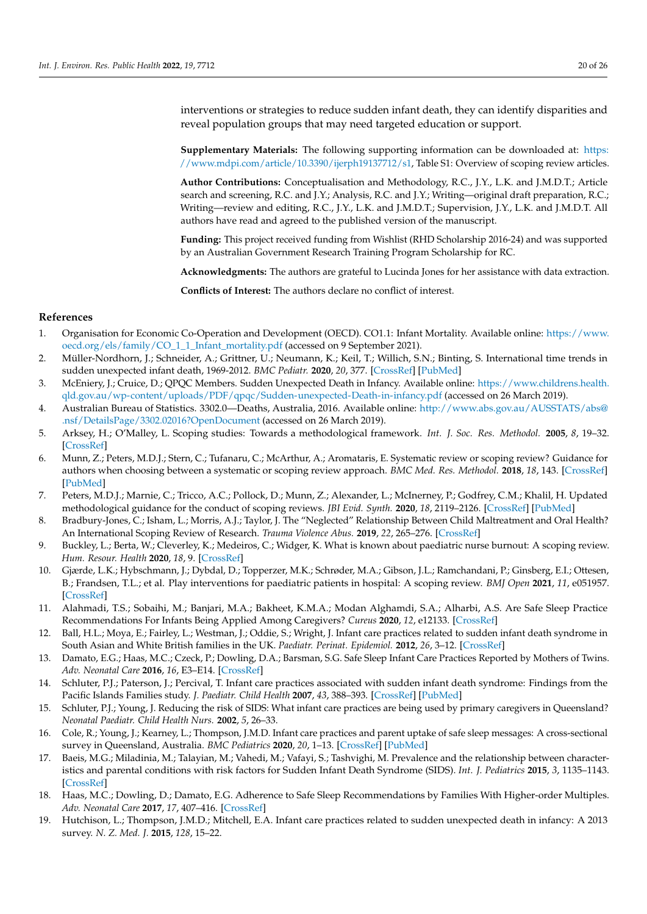interventions or strategies to reduce sudden infant death, they can identify disparities and reveal population groups that may need targeted education or support.

**Supplementary Materials:** The following supporting information can be downloaded at: [https:](https://www.mdpi.com/article/10.3390/ijerph19137712/s1) [//www.mdpi.com/article/10.3390/ijerph19137712/s1,](https://www.mdpi.com/article/10.3390/ijerph19137712/s1) Table S1: Overview of scoping review articles.

**Author Contributions:** Conceptualisation and Methodology, R.C., J.Y., L.K. and J.M.D.T.; Article search and screening, R.C. and J.Y.; Analysis, R.C. and J.Y.; Writing—original draft preparation, R.C.; Writing—review and editing, R.C., J.Y., L.K. and J.M.D.T.; Supervision, J.Y., L.K. and J.M.D.T. All authors have read and agreed to the published version of the manuscript.

**Funding:** This project received funding from Wishlist (RHD Scholarship 2016-24) and was supported by an Australian Government Research Training Program Scholarship for RC.

**Acknowledgments:** The authors are grateful to Lucinda Jones for her assistance with data extraction.

**Conflicts of Interest:** The authors declare no conflict of interest.

# **References**

- <span id="page-19-0"></span>1. Organisation for Economic Co-Operation and Development (OECD). CO1.1: Infant Mortality. Available online: [https://www.](https://www.oecd.org/els/family/CO_1_1_Infant_mortality.pdf) [oecd.org/els/family/CO\\_1\\_1\\_Infant\\_mortality.pdf](https://www.oecd.org/els/family/CO_1_1_Infant_mortality.pdf) (accessed on 9 September 2021).
- <span id="page-19-1"></span>2. Müller-Nordhorn, J.; Schneider, A.; Grittner, U.; Neumann, K.; Keil, T.; Willich, S.N.; Binting, S. International time trends in sudden unexpected infant death, 1969-2012. *BMC Pediatr.* **2020**, *20*, 377. [\[CrossRef\]](http://doi.org/10.1186/s12887-020-02271-x) [\[PubMed\]](http://www.ncbi.nlm.nih.gov/pubmed/32781989)
- 3. McEniery, J.; Cruice, D.; QPQC Members. Sudden Unexpected Death in Infancy. Available online: [https://www.childrens.health.](https://www.childrens.health.qld.gov.au/wp-content/uploads/PDF/qpqc/Sudden-unexpected-Death-in-infancy.pdf) [qld.gov.au/wp-content/uploads/PDF/qpqc/Sudden-unexpected-Death-in-infancy.pdf](https://www.childrens.health.qld.gov.au/wp-content/uploads/PDF/qpqc/Sudden-unexpected-Death-in-infancy.pdf) (accessed on 26 March 2019).
- <span id="page-19-2"></span>4. Australian Bureau of Statistics. 3302.0—Deaths, Australia, 2016. Available online: [http://www.abs.gov.au/AUSSTATS/abs@](http://www.abs.gov.au/AUSSTATS/abs@.nsf/DetailsPage/3302.02016?OpenDocument) [.nsf/DetailsPage/3302.02016?OpenDocument](http://www.abs.gov.au/AUSSTATS/abs@.nsf/DetailsPage/3302.02016?OpenDocument) (accessed on 26 March 2019).
- <span id="page-19-3"></span>5. Arksey, H.; O'Malley, L. Scoping studies: Towards a methodological framework. *Int. J. Soc. Res. Methodol.* **2005**, *8*, 19–32. [\[CrossRef\]](http://doi.org/10.1080/1364557032000119616)
- <span id="page-19-4"></span>6. Munn, Z.; Peters, M.D.J.; Stern, C.; Tufanaru, C.; McArthur, A.; Aromataris, E. Systematic review or scoping review? Guidance for authors when choosing between a systematic or scoping review approach. *BMC Med. Res. Methodol.* **2018**, *18*, 143. [\[CrossRef\]](http://doi.org/10.1186/s12874-018-0611-x) [\[PubMed\]](http://www.ncbi.nlm.nih.gov/pubmed/30453902)
- <span id="page-19-5"></span>7. Peters, M.D.J.; Marnie, C.; Tricco, A.C.; Pollock, D.; Munn, Z.; Alexander, L.; McInerney, P.; Godfrey, C.M.; Khalil, H. Updated methodological guidance for the conduct of scoping reviews. *JBI Evid. Synth.* **2020**, *18*, 2119–2126. [\[CrossRef\]](http://doi.org/10.11124/JBIES-20-00167) [\[PubMed\]](http://www.ncbi.nlm.nih.gov/pubmed/33038124)
- <span id="page-19-6"></span>8. Bradbury-Jones, C.; Isham, L.; Morris, A.J.; Taylor, J. The "Neglected" Relationship Between Child Maltreatment and Oral Health? An International Scoping Review of Research. *Trauma Violence Abus.* **2019**, *22*, 265–276. [\[CrossRef\]](http://doi.org/10.1177/1524838019841598)
- 9. Buckley, L.; Berta, W.; Cleverley, K.; Medeiros, C.; Widger, K. What is known about paediatric nurse burnout: A scoping review. *Hum. Resour. Health* **2020**, *18*, 9. [\[CrossRef\]](http://doi.org/10.1186/s12960-020-0451-8)
- <span id="page-19-7"></span>10. Gjærde, L.K.; Hybschmann, J.; Dybdal, D.; Topperzer, M.K.; Schrøder, M.A.; Gibson, J.L.; Ramchandani, P.; Ginsberg, E.I.; Ottesen, B.; Frandsen, T.L.; et al. Play interventions for paediatric patients in hospital: A scoping review. *BMJ Open* **2021**, *11*, e051957. [\[CrossRef\]](http://doi.org/10.1136/bmjopen-2021-051957)
- <span id="page-19-8"></span>11. Alahmadi, T.S.; Sobaihi, M.; Banjari, M.A.; Bakheet, K.M.A.; Modan Alghamdi, S.A.; Alharbi, A.S. Are Safe Sleep Practice Recommendations For Infants Being Applied Among Caregivers? *Cureus* **2020**, *12*, e12133. [\[CrossRef\]](http://doi.org/10.7759/cureus.12133)
- <span id="page-19-11"></span>12. Ball, H.L.; Moya, E.; Fairley, L.; Westman, J.; Oddie, S.; Wright, J. Infant care practices related to sudden infant death syndrome in South Asian and White British families in the UK. *Paediatr. Perinat. Epidemiol.* **2012**, *26*, 3–12. [\[CrossRef\]](http://doi.org/10.1111/j.1365-3016.2011.01217.x)
- <span id="page-19-12"></span>13. Damato, E.G.; Haas, M.C.; Czeck, P.; Dowling, D.A.; Barsman, S.G. Safe Sleep Infant Care Practices Reported by Mothers of Twins. *Adv. Neonatal Care* **2016**, *16*, E3–E14. [\[CrossRef\]](http://doi.org/10.1097/ANC.0000000000000332)
- <span id="page-19-15"></span>14. Schluter, P.J.; Paterson, J.; Percival, T. Infant care practices associated with sudden infant death syndrome: Findings from the Pacific Islands Families study. *J. Paediatr. Child Health* **2007**, *43*, 388–393. [\[CrossRef\]](http://doi.org/10.1111/j.1440-1754.2007.01085.x) [\[PubMed\]](http://www.ncbi.nlm.nih.gov/pubmed/17489830)
- <span id="page-19-16"></span>15. Schluter, P.J.; Young, J. Reducing the risk of SIDS: What infant care practices are being used by primary caregivers in Queensland? *Neonatal Paediatr. Child Health Nurs.* **2002**, *5*, 26–33.
- <span id="page-19-9"></span>16. Cole, R.; Young, J.; Kearney, L.; Thompson, J.M.D. Infant care practices and parent uptake of safe sleep messages: A cross-sectional survey in Queensland, Australia. *BMC Pediatrics* **2020**, *20*, 1–13. [\[CrossRef\]](http://doi.org/10.1186/s12887-020-1917-5) [\[PubMed\]](http://www.ncbi.nlm.nih.gov/pubmed/31964354)
- <span id="page-19-10"></span>17. Baeis, M.G.; Miladinia, M.; Talayian, M.; Vahedi, M.; Vafayi, S.; Tashvighi, M. Prevalence and the relationship between characteristics and parental conditions with risk factors for Sudden Infant Death Syndrome (SIDS). *Int. J. Pediatrics* **2015**, *3*, 1135–1143. [\[CrossRef\]](http://doi.org/10.22038/ijp.2015.5933)
- <span id="page-19-13"></span>18. Haas, M.C.; Dowling, D.; Damato, E.G. Adherence to Safe Sleep Recommendations by Families With Higher-order Multiples. *Adv. Neonatal Care* **2017**, *17*, 407–416. [\[CrossRef\]](http://doi.org/10.1097/ANC.0000000000000416)
- <span id="page-19-14"></span>19. Hutchison, L.; Thompson, J.M.D.; Mitchell, E.A. Infant care practices related to sudden unexpected death in infancy: A 2013 survey. *N. Z. Med. J.* **2015**, *128*, 15–22.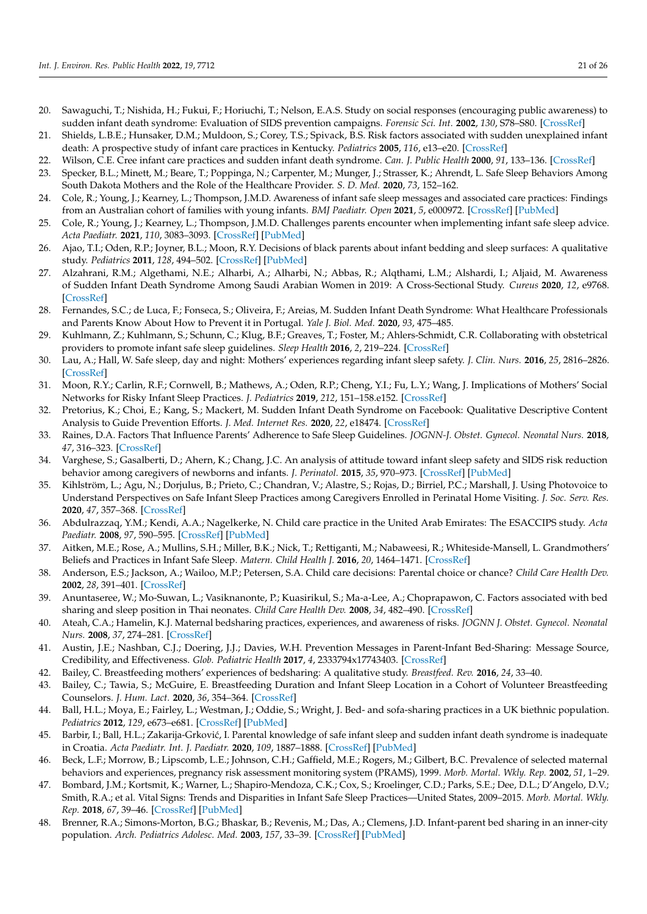- <span id="page-20-24"></span>20. Sawaguchi, T.; Nishida, H.; Fukui, F.; Horiuchi, T.; Nelson, E.A.S. Study on social responses (encouraging public awareness) to sudden infant death syndrome: Evaluation of SIDS prevention campaigns. *Forensic Sci. Int.* **2002**, *130*, S78–S80. [\[CrossRef\]](http://doi.org/10.1016/S0379-0738(02)00144-5)
- <span id="page-20-25"></span>21. Shields, L.B.E.; Hunsaker, D.M.; Muldoon, S.; Corey, T.S.; Spivack, B.S. Risk factors associated with sudden unexplained infant death: A prospective study of infant care practices in Kentucky. *Pediatrics* **2005**, *116*, e13–e20. [\[CrossRef\]](http://doi.org/10.1542/peds.2004-2333)
- <span id="page-20-28"></span>22. Wilson, C.E. Cree infant care practices and sudden infant death syndrome. *Can. J. Public Health* **2000**, *91*, 133–136. [\[CrossRef\]](http://doi.org/10.1007/BF03404929)
- <span id="page-20-26"></span>23. Specker, B.L.; Minett, M.; Beare, T.; Poppinga, N.; Carpenter, M.; Munger, J.; Strasser, K.; Ahrendt, L. Safe Sleep Behaviors Among South Dakota Mothers and the Role of the Healthcare Provider. *S. D. Med.* **2020**, *73*, 152–162.
- <span id="page-20-17"></span>24. Cole, R.; Young, J.; Kearney, L.; Thompson, J.M.D. Awareness of infant safe sleep messages and associated care practices: Findings from an Australian cohort of families with young infants. *BMJ Paediatr. Open* **2021**, *5*, e000972. [\[CrossRef\]](http://doi.org/10.1136/bmjpo-2020-000972) [\[PubMed\]](http://www.ncbi.nlm.nih.gov/pubmed/33718628)
- <span id="page-20-0"></span>25. Cole, R.; Young, J.; Kearney, L.; Thompson, J.M.D. Challenges parents encounter when implementing infant safe sleep advice. *Acta Paediatr.* **2021**, *110*, 3083–3093. [\[CrossRef\]](http://doi.org/10.1111/apa.16040) [\[PubMed\]](http://www.ncbi.nlm.nih.gov/pubmed/34297875)
- <span id="page-20-1"></span>26. Ajao, T.I.; Oden, R.P.; Joyner, B.L.; Moon, R.Y. Decisions of black parents about infant bedding and sleep surfaces: A qualitative study. *Pediatrics* **2011**, *128*, 494–502. [\[CrossRef\]](http://doi.org/10.1542/peds.2011-0072) [\[PubMed\]](http://www.ncbi.nlm.nih.gov/pubmed/21859921)
- <span id="page-20-5"></span>27. Alzahrani, R.M.; Algethami, N.E.; Alharbi, A.; Alharbi, N.; Abbas, R.; Alqthami, L.M.; Alshardi, I.; Aljaid, M. Awareness of Sudden Infant Death Syndrome Among Saudi Arabian Women in 2019: A Cross-Sectional Study. *Cureus* **2020**, *12*, e9768. [\[CrossRef\]](http://doi.org/10.7759/cureus.9768)
- <span id="page-20-18"></span>28. Fernandes, S.C.; de Luca, F.; Fonseca, S.; Oliveira, F.; Areias, M. Sudden Infant Death Syndrome: What Healthcare Professionals and Parents Know About How to Prevent it in Portugal. *Yale J. Biol. Med.* **2020**, *93*, 475–485.
- <span id="page-20-19"></span>29. Kuhlmann, Z.; Kuhlmann, S.; Schunn, C.; Klug, B.F.; Greaves, T.; Foster, M.; Ahlers-Schmidt, C.R. Collaborating with obstetrical providers to promote infant safe sleep guidelines. *Sleep Health* **2016**, *2*, 219–224. [\[CrossRef\]](http://doi.org/10.1016/j.sleh.2016.06.003)
- <span id="page-20-20"></span>30. Lau, A.; Hall, W. Safe sleep, day and night: Mothers' experiences regarding infant sleep safety. *J. Clin. Nurs.* **2016**, *25*, 2816–2826. [\[CrossRef\]](http://doi.org/10.1111/jocn.13322)
- <span id="page-20-21"></span>31. Moon, R.Y.; Carlin, R.F.; Cornwell, B.; Mathews, A.; Oden, R.P.; Cheng, Y.I.; Fu, L.Y.; Wang, J. Implications of Mothers' Social Networks for Risky Infant Sleep Practices. *J. Pediatrics* **2019**, *212*, 151–158.e152. [\[CrossRef\]](http://doi.org/10.1016/j.jpeds.2019.05.027)
- <span id="page-20-22"></span>32. Pretorius, K.; Choi, E.; Kang, S.; Mackert, M. Sudden Infant Death Syndrome on Facebook: Qualitative Descriptive Content Analysis to Guide Prevention Efforts. *J. Med. Internet Res.* **2020**, *22*, e18474. [\[CrossRef\]](http://doi.org/10.2196/18474)
- <span id="page-20-23"></span>33. Raines, D.A. Factors That Influence Parents' Adherence to Safe Sleep Guidelines. *JOGNN-J. Obstet. Gynecol. Neonatal Nurs.* **2018**, *47*, 316–323. [\[CrossRef\]](http://doi.org/10.1016/j.jogn.2018.01.010)
- <span id="page-20-27"></span>34. Varghese, S.; Gasalberti, D.; Ahern, K.; Chang, J.C. An analysis of attitude toward infant sleep safety and SIDS risk reduction behavior among caregivers of newborns and infants. *J. Perinatol.* **2015**, *35*, 970–973. [\[CrossRef\]](http://doi.org/10.1038/jp.2015.111) [\[PubMed\]](http://www.ncbi.nlm.nih.gov/pubmed/26334398)
- <span id="page-20-2"></span>35. Kihlström, L.; Agu, N.; Dorjulus, B.; Prieto, C.; Chandran, V.; Alastre, S.; Rojas, D.; Birriel, P.C.; Marshall, J. Using Photovoice to Understand Perspectives on Safe Infant Sleep Practices among Caregivers Enrolled in Perinatal Home Visiting. *J. Soc. Serv. Res.* **2020**, *47*, 357–368. [\[CrossRef\]](http://doi.org/10.1080/01488376.2020.1816594)
- <span id="page-20-3"></span>36. Abdulrazzaq, Y.M.; Kendi, A.A.; Nagelkerke, N. Child care practice in the United Arab Emirates: The ESACCIPS study. *Acta Paediatr.* **2008**, *97*, 590–595. [\[CrossRef\]](http://doi.org/10.1111/j.1651-2227.2008.00758.x) [\[PubMed\]](http://www.ncbi.nlm.nih.gov/pubmed/18394104)
- <span id="page-20-4"></span>37. Aitken, M.E.; Rose, A.; Mullins, S.H.; Miller, B.K.; Nick, T.; Rettiganti, M.; Nabaweesi, R.; Whiteside-Mansell, L. Grandmothers' Beliefs and Practices in Infant Safe Sleep. *Matern. Child Health J.* **2016**, *20*, 1464–1471. [\[CrossRef\]](http://doi.org/10.1007/s10995-016-1945-9)
- <span id="page-20-6"></span>38. Anderson, E.S.; Jackson, A.; Wailoo, M.P.; Petersen, S.A. Child care decisions: Parental choice or chance? *Child Care Health Dev.* **2002**, *28*, 391–401. [\[CrossRef\]](http://doi.org/10.1046/j.1365-2214.2002.00288.x)
- <span id="page-20-7"></span>39. Anuntaseree, W.; Mo-Suwan, L.; Vasiknanonte, P.; Kuasirikul, S.; Ma-a-Lee, A.; Choprapawon, C. Factors associated with bed sharing and sleep position in Thai neonates. *Child Care Health Dev.* **2008**, *34*, 482–490. [\[CrossRef\]](http://doi.org/10.1111/j.1365-2214.2008.00832.x)
- <span id="page-20-8"></span>40. Ateah, C.A.; Hamelin, K.J. Maternal bedsharing practices, experiences, and awareness of risks. *JOGNN J. Obstet. Gynecol. Neonatal Nurs.* **2008**, *37*, 274–281. [\[CrossRef\]](http://doi.org/10.1111/j.1552-6909.2008.00242.x)
- <span id="page-20-9"></span>41. Austin, J.E.; Nashban, C.J.; Doering, J.J.; Davies, W.H. Prevention Messages in Parent-Infant Bed-Sharing: Message Source, Credibility, and Effectiveness. *Glob. Pediatric Health* **2017**, *4*, 2333794x17743403. [\[CrossRef\]](http://doi.org/10.1177/2333794X17743403)
- <span id="page-20-10"></span>42. Bailey, C. Breastfeeding mothers' experiences of bedsharing: A qualitative study. *Breastfeed. Rev.* **2016**, *24*, 33–40.
- <span id="page-20-11"></span>43. Bailey, C.; Tawia, S.; McGuire, E. Breastfeeding Duration and Infant Sleep Location in a Cohort of Volunteer Breastfeeding Counselors. *J. Hum. Lact.* **2020**, *36*, 354–364. [\[CrossRef\]](http://doi.org/10.1177/0890334419851801)
- <span id="page-20-12"></span>44. Ball, H.L.; Moya, E.; Fairley, L.; Westman, J.; Oddie, S.; Wright, J. Bed- and sofa-sharing practices in a UK biethnic population. *Pediatrics* **2012**, *129*, e673–e681. [\[CrossRef\]](http://doi.org/10.1542/peds.2011-1964) [\[PubMed\]](http://www.ncbi.nlm.nih.gov/pubmed/22351888)
- <span id="page-20-13"></span>45. Barbir, I.; Ball, H.L.; Zakarija-Grković, I. Parental knowledge of safe infant sleep and sudden infant death syndrome is inadequate in Croatia. *Acta Paediatr. Int. J. Paediatr.* **2020**, *109*, 1887–1888. [\[CrossRef\]](http://doi.org/10.1111/apa.15207) [\[PubMed\]](http://www.ncbi.nlm.nih.gov/pubmed/32011020)
- <span id="page-20-14"></span>46. Beck, L.F.; Morrow, B.; Lipscomb, L.E.; Johnson, C.H.; Gaffield, M.E.; Rogers, M.; Gilbert, B.C. Prevalence of selected maternal behaviors and experiences, pregnancy risk assessment monitoring system (PRAMS), 1999. *Morb. Mortal. Wkly. Rep.* **2002**, *51*, 1–29.
- <span id="page-20-15"></span>47. Bombard, J.M.; Kortsmit, K.; Warner, L.; Shapiro-Mendoza, C.K.; Cox, S.; Kroelinger, C.D.; Parks, S.E.; Dee, D.L.; D'Angelo, D.V.; Smith, R.A.; et al. Vital Signs: Trends and Disparities in Infant Safe Sleep Practices—United States, 2009–2015. *Morb. Mortal. Wkly. Rep.* **2018**, *67*, 39–46. [\[CrossRef\]](http://doi.org/10.15585/mmwr.mm6701e1) [\[PubMed\]](http://www.ncbi.nlm.nih.gov/pubmed/29324729)
- <span id="page-20-16"></span>48. Brenner, R.A.; Simons-Morton, B.G.; Bhaskar, B.; Revenis, M.; Das, A.; Clemens, J.D. Infant-parent bed sharing in an inner-city population. *Arch. Pediatrics Adolesc. Med.* **2003**, *157*, 33–39. [\[CrossRef\]](http://doi.org/10.1001/archpedi.157.1.33) [\[PubMed\]](http://www.ncbi.nlm.nih.gov/pubmed/12517192)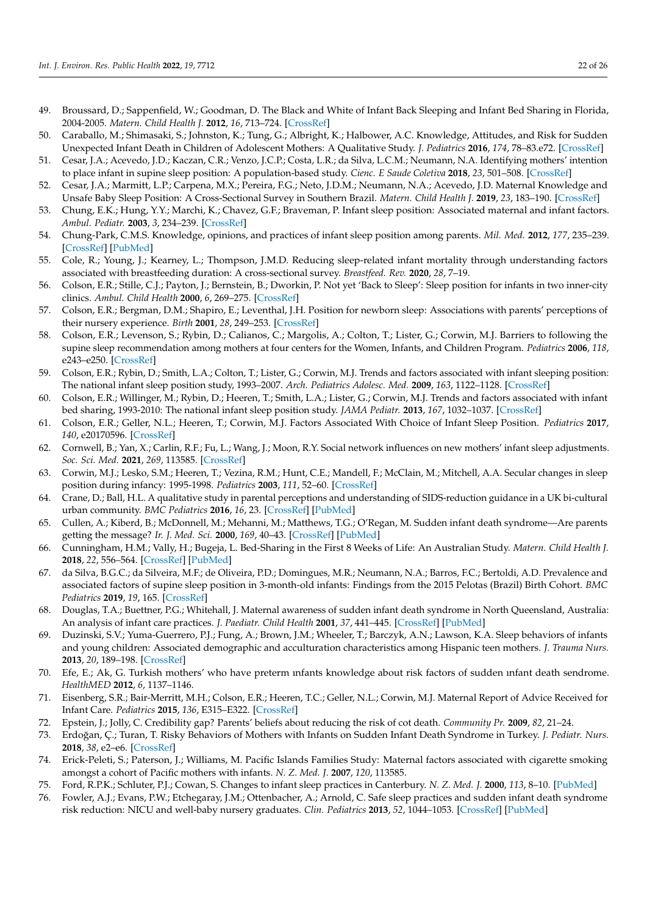- <span id="page-21-0"></span>49. Broussard, D.; Sappenfield, W.; Goodman, D. The Black and White of Infant Back Sleeping and Infant Bed Sharing in Florida, 2004-2005. *Matern. Child Health J.* **2012**, *16*, 713–724. [\[CrossRef\]](http://doi.org/10.1007/s10995-011-0768-y)
- <span id="page-21-1"></span>50. Caraballo, M.; Shimasaki, S.; Johnston, K.; Tung, G.; Albright, K.; Halbower, A.C. Knowledge, Attitudes, and Risk for Sudden Unexpected Infant Death in Children of Adolescent Mothers: A Qualitative Study. *J. Pediatrics* **2016**, *174*, 78–83.e72. [\[CrossRef\]](http://doi.org/10.1016/j.jpeds.2016.03.031)
- <span id="page-21-2"></span>51. Cesar, J.A.; Acevedo, J.D.; Kaczan, C.R.; Venzo, J.C.P.; Costa, L.R.; da Silva, L.C.M.; Neumann, N.A. Identifying mothers' intention to place infant in supine sleep position: A population-based study. *Cienc. E Saude Coletiva* **2018**, *23*, 501–508. [\[CrossRef\]](http://doi.org/10.1590/1413-81232018232.20732015)
- <span id="page-21-3"></span>52. Cesar, J.A.; Marmitt, L.P.; Carpena, M.X.; Pereira, F.G.; Neto, J.D.M.; Neumann, N.A.; Acevedo, J.D. Maternal Knowledge and Unsafe Baby Sleep Position: A Cross-Sectional Survey in Southern Brazil. *Matern. Child Health J.* **2019**, *23*, 183–190. [\[CrossRef\]](http://doi.org/10.1007/s10995-018-2613-z)
- <span id="page-21-4"></span>53. Chung, E.K.; Hung, Y.Y.; Marchi, K.; Chavez, G.F.; Braveman, P. Infant sleep position: Associated maternal and infant factors. *Ambul. Pediatr.* **2003**, *3*, 234–239. [\[CrossRef\]](http://doi.org/10.1367/1539-4409(2003)003<0234:ISPAMA>2.0.CO;2)
- <span id="page-21-5"></span>54. Chung-Park, C.M.S. Knowledge, opinions, and practices of infant sleep position among parents. *Mil. Med.* **2012**, *177*, 235–239. [\[CrossRef\]](http://doi.org/10.7205/MILMED-D-11-00323) [\[PubMed\]](http://www.ncbi.nlm.nih.gov/pubmed/22360073)
- <span id="page-21-6"></span>55. Cole, R.; Young, J.; Kearney, L.; Thompson, J.M.D. Reducing sleep-related infant mortality through understanding factors associated with breastfeeding duration: A cross-sectional survey. *Breastfeed. Rev.* **2020**, *28*, 7–19.
- <span id="page-21-7"></span>56. Colson, E.R.; Stille, C.J.; Payton, J.; Bernstein, B.; Dworkin, P. Not yet 'Back to Sleep': Sleep position for infants in two inner-city clinics. *Ambul. Child Health* **2000**, *6*, 269–275. [\[CrossRef\]](http://doi.org/10.1046/j.1467-0658.2000.00096.x)
- <span id="page-21-8"></span>57. Colson, E.R.; Bergman, D.M.; Shapiro, E.; Leventhal, J.H. Position for newborn sleep: Associations with parents' perceptions of their nursery experience. *Birth* **2001**, *28*, 249–253. [\[CrossRef\]](http://doi.org/10.1046/j.1523-536X.2001.00249.x)
- <span id="page-21-9"></span>58. Colson, E.R.; Levenson, S.; Rybin, D.; Calianos, C.; Margolis, A.; Colton, T.; Lister, G.; Corwin, M.J. Barriers to following the supine sleep recommendation among mothers at four centers for the Women, Infants, and Children Program. *Pediatrics* **2006**, *118*, e243–e250. [\[CrossRef\]](http://doi.org/10.1542/peds.2005-2517)
- <span id="page-21-10"></span>59. Colson, E.R.; Rybin, D.; Smith, L.A.; Colton, T.; Lister, G.; Corwin, M.J. Trends and factors associated with infant sleeping position: The national infant sleep position study, 1993–2007. *Arch. Pediatrics Adolesc. Med.* **2009**, *163*, 1122–1128. [\[CrossRef\]](http://doi.org/10.1001/archpediatrics.2009.234)
- <span id="page-21-11"></span>60. Colson, E.R.; Willinger, M.; Rybin, D.; Heeren, T.; Smith, L.A.; Lister, G.; Corwin, M.J. Trends and factors associated with infant bed sharing, 1993-2010: The national infant sleep position study. *JAMA Pediatr.* **2013**, *167*, 1032–1037. [\[CrossRef\]](http://doi.org/10.1001/jamapediatrics.2013.2560)
- <span id="page-21-12"></span>61. Colson, E.R.; Geller, N.L.; Heeren, T.; Corwin, M.J. Factors Associated With Choice of Infant Sleep Position. *Pediatrics* **2017**, *140*, e20170596. [\[CrossRef\]](http://doi.org/10.1542/peds.2017-0596)
- <span id="page-21-13"></span>62. Cornwell, B.; Yan, X.; Carlin, R.F.; Fu, L.; Wang, J.; Moon, R.Y. Social network influences on new mothers' infant sleep adjustments. *Soc. Sci. Med.* **2021**, *269*, 113585. [\[CrossRef\]](http://doi.org/10.1016/j.socscimed.2020.113585)
- <span id="page-21-14"></span>63. Corwin, M.J.; Lesko, S.M.; Heeren, T.; Vezina, R.M.; Hunt, C.E.; Mandell, F.; McClain, M.; Mitchell, A.A. Secular changes in sleep position during infancy: 1995-1998. *Pediatrics* **2003**, *111*, 52–60. [\[CrossRef\]](http://doi.org/10.1542/peds.111.1.52)
- <span id="page-21-15"></span>64. Crane, D.; Ball, H.L. A qualitative study in parental perceptions and understanding of SIDS-reduction guidance in a UK bi-cultural urban community. *BMC Pediatrics* **2016**, *16*, 23. [\[CrossRef\]](http://doi.org/10.1186/s12887-016-0560-7) [\[PubMed\]](http://www.ncbi.nlm.nih.gov/pubmed/26830470)
- <span id="page-21-16"></span>65. Cullen, A.; Kiberd, B.; McDonnell, M.; Mehanni, M.; Matthews, T.G.; O'Regan, M. Sudden infant death syndrome—Are parents getting the message? *Ir. J. Med. Sci.* **2000**, *169*, 40–43. [\[CrossRef\]](http://doi.org/10.1007/BF03170483) [\[PubMed\]](http://www.ncbi.nlm.nih.gov/pubmed/10846857)
- <span id="page-21-17"></span>66. Cunningham, H.M.; Vally, H.; Bugeja, L. Bed-Sharing in the First 8 Weeks of Life: An Australian Study. *Matern. Child Health J.* **2018**, *22*, 556–564. [\[CrossRef\]](http://doi.org/10.1007/s10995-017-2424-7) [\[PubMed\]](http://www.ncbi.nlm.nih.gov/pubmed/29299793)
- <span id="page-21-18"></span>67. da Silva, B.G.C.; da Silveira, M.F.; de Oliveira, P.D.; Domingues, M.R.; Neumann, N.A.; Barros, F.C.; Bertoldi, A.D. Prevalence and associated factors of supine sleep position in 3-month-old infants: Findings from the 2015 Pelotas (Brazil) Birth Cohort. *BMC Pediatrics* **2019**, *19*, 165. [\[CrossRef\]](http://doi.org/10.1186/s12887-019-1534-3)
- <span id="page-21-19"></span>68. Douglas, T.A.; Buettner, P.G.; Whitehall, J. Maternal awareness of sudden infant death syndrome in North Queensland, Australia: An analysis of infant care practices. *J. Paediatr. Child Health* **2001**, *37*, 441–445. [\[CrossRef\]](http://doi.org/10.1046/j.1440-1754.2001.00670.x) [\[PubMed\]](http://www.ncbi.nlm.nih.gov/pubmed/11885706)
- <span id="page-21-20"></span>69. Duzinski, S.V.; Yuma-Guerrero, P.J.; Fung, A.; Brown, J.M.; Wheeler, T.; Barczyk, A.N.; Lawson, K.A. Sleep behaviors of infants and young children: Associated demographic and acculturation characteristics among Hispanic teen mothers. *J. Trauma Nurs.* **2013**, *20*, 189–198. [\[CrossRef\]](http://doi.org/10.1097/JTN.0000000000000011)
- <span id="page-21-21"></span>70. Efe, E.; Ak, G. Turkish mothers' who have preterm ınfants knowledge about risk factors of sudden ınfant death sendrome. *HealthMED* **2012**, *6*, 1137–1146.
- <span id="page-21-22"></span>71. Eisenberg, S.R.; Bair-Merritt, M.H.; Colson, E.R.; Heeren, T.C.; Geller, N.L.; Corwin, M.J. Maternal Report of Advice Received for Infant Care. *Pediatrics* **2015**, *136*, E315–E322. [\[CrossRef\]](http://doi.org/10.1542/peds.2015-0551)
- <span id="page-21-23"></span>72. Epstein, J.; Jolly, C. Credibility gap? Parents' beliefs about reducing the risk of cot death. *Community Pr.* **2009**, *82*, 21–24.
- <span id="page-21-24"></span>73. Erdoğan, Ç.; Turan, T. Risky Behaviors of Mothers with Infants on Sudden Infant Death Syndrome in Turkey. *J. Pediatr. Nurs.* **2018**, *38*, e2–e6. [\[CrossRef\]](http://doi.org/10.1016/j.pedn.2017.11.017)
- <span id="page-21-25"></span>74. Erick-Peleti, S.; Paterson, J.; Williams, M. Pacific Islands Families Study: Maternal factors associated with cigarette smoking amongst a cohort of Pacific mothers with infants. *N. Z. Med. J.* **2007**, *120*, 113585.
- <span id="page-21-27"></span><span id="page-21-26"></span>75. Ford, R.P.K.; Schluter, P.J.; Cowan, S. Changes to infant sleep practices in Canterbury. *N. Z. Med. J.* **2000**, *113*, 8–10. [\[PubMed\]](http://www.ncbi.nlm.nih.gov/pubmed/10738493)
- 76. Fowler, A.J.; Evans, P.W.; Etchegaray, J.M.; Ottenbacher, A.; Arnold, C. Safe sleep practices and sudden infant death syndrome risk reduction: NICU and well-baby nursery graduates. *Clin. Pediatrics* **2013**, *52*, 1044–1053. [\[CrossRef\]](http://doi.org/10.1177/0009922813506038) [\[PubMed\]](http://www.ncbi.nlm.nih.gov/pubmed/24137040)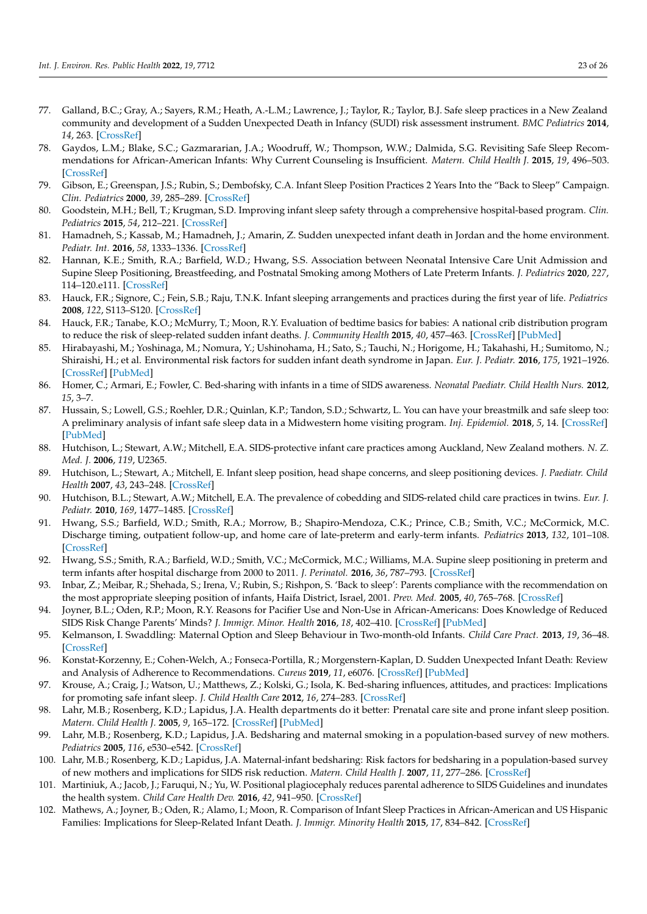- <span id="page-22-0"></span>77. Galland, B.C.; Gray, A.; Sayers, R.M.; Heath, A.-L.M.; Lawrence, J.; Taylor, R.; Taylor, B.J. Safe sleep practices in a New Zealand community and development of a Sudden Unexpected Death in Infancy (SUDI) risk assessment instrument. *BMC Pediatrics* **2014**, *14*, 263. [\[CrossRef\]](http://doi.org/10.1186/1471-2431-14-263)
- <span id="page-22-1"></span>78. Gaydos, L.M.; Blake, S.C.; Gazmararian, J.A.; Woodruff, W.; Thompson, W.W.; Dalmida, S.G. Revisiting Safe Sleep Recommendations for African-American Infants: Why Current Counseling is Insufficient. *Matern. Child Health J.* **2015**, *19*, 496–503. [\[CrossRef\]](http://doi.org/10.1007/s10995-014-1530-z)
- <span id="page-22-2"></span>79. Gibson, E.; Greenspan, J.S.; Rubin, S.; Dembofsky, C.A. Infant Sleep Position Practices 2 Years Into the "Back to Sleep" Campaign. *Clin. Pediatrics* **2000**, *39*, 285–289. [\[CrossRef\]](http://doi.org/10.1177/000992280003900505)
- <span id="page-22-3"></span>80. Goodstein, M.H.; Bell, T.; Krugman, S.D. Improving infant sleep safety through a comprehensive hospital-based program. *Clin. Pediatrics* **2015**, *54*, 212–221. [\[CrossRef\]](http://doi.org/10.1177/0009922814566928)
- <span id="page-22-4"></span>81. Hamadneh, S.; Kassab, M.; Hamadneh, J.; Amarin, Z. Sudden unexpected infant death in Jordan and the home environment. *Pediatr. Int.* **2016**, *58*, 1333–1336. [\[CrossRef\]](http://doi.org/10.1111/ped.13016)
- <span id="page-22-5"></span>82. Hannan, K.E.; Smith, R.A.; Barfield, W.D.; Hwang, S.S. Association between Neonatal Intensive Care Unit Admission and Supine Sleep Positioning, Breastfeeding, and Postnatal Smoking among Mothers of Late Preterm Infants. *J. Pediatrics* **2020**, *227*, 114–120.e111. [\[CrossRef\]](http://doi.org/10.1016/j.jpeds.2020.07.053)
- <span id="page-22-6"></span>83. Hauck, F.R.; Signore, C.; Fein, S.B.; Raju, T.N.K. Infant sleeping arrangements and practices during the first year of life. *Pediatrics* **2008**, *122*, S113–S120. [\[CrossRef\]](http://doi.org/10.1542/peds.2008-1315o)
- <span id="page-22-7"></span>84. Hauck, F.R.; Tanabe, K.O.; McMurry, T.; Moon, R.Y. Evaluation of bedtime basics for babies: A national crib distribution program to reduce the risk of sleep-related sudden infant deaths. *J. Community Health* **2015**, *40*, 457–463. [\[CrossRef\]](http://doi.org/10.1007/s10900-014-9957-0) [\[PubMed\]](http://www.ncbi.nlm.nih.gov/pubmed/25331608)
- <span id="page-22-8"></span>85. Hirabayashi, M.; Yoshinaga, M.; Nomura, Y.; Ushinohama, H.; Sato, S.; Tauchi, N.; Horigome, H.; Takahashi, H.; Sumitomo, N.; Shiraishi, H.; et al. Environmental risk factors for sudden infant death syndrome in Japan. *Eur. J. Pediatr.* **2016**, *175*, 1921–1926. [\[CrossRef\]](http://doi.org/10.1007/s00431-016-2786-7) [\[PubMed\]](http://www.ncbi.nlm.nih.gov/pubmed/27664161)
- <span id="page-22-9"></span>86. Homer, C.; Armari, E.; Fowler, C. Bed-sharing with infants in a time of SIDS awareness. *Neonatal Paediatr. Child Health Nurs.* **2012**, *15*, 3–7.
- <span id="page-22-10"></span>87. Hussain, S.; Lowell, G.S.; Roehler, D.R.; Quinlan, K.P.; Tandon, S.D.; Schwartz, L. You can have your breastmilk and safe sleep too: A preliminary analysis of infant safe sleep data in a Midwestern home visiting program. *Inj. Epidemiol.* **2018**, *5*, 14. [\[CrossRef\]](http://doi.org/10.1186/s40621-018-0138-y) [\[PubMed\]](http://www.ncbi.nlm.nih.gov/pubmed/29637422)
- <span id="page-22-11"></span>88. Hutchison, L.; Stewart, A.W.; Mitchell, E.A. SIDS-protective infant care practices among Auckland, New Zealand mothers. *N. Z. Med. J.* **2006**, *119*, U2365.
- <span id="page-22-12"></span>89. Hutchison, L.; Stewart, A.; Mitchell, E. Infant sleep position, head shape concerns, and sleep positioning devices. *J. Paediatr. Child Health* **2007**, *43*, 243–248. [\[CrossRef\]](http://doi.org/10.1111/j.1440-1754.2007.01054.x)
- <span id="page-22-13"></span>90. Hutchison, B.L.; Stewart, A.W.; Mitchell, E.A. The prevalence of cobedding and SIDS-related child care practices in twins. *Eur. J. Pediatr.* **2010**, *169*, 1477–1485. [\[CrossRef\]](http://doi.org/10.1007/s00431-010-1246-z)
- <span id="page-22-14"></span>91. Hwang, S.S.; Barfield, W.D.; Smith, R.A.; Morrow, B.; Shapiro-Mendoza, C.K.; Prince, C.B.; Smith, V.C.; McCormick, M.C. Discharge timing, outpatient follow-up, and home care of late-preterm and early-term infants. *Pediatrics* **2013**, *132*, 101–108. [\[CrossRef\]](http://doi.org/10.1542/peds.2012-3892)
- <span id="page-22-15"></span>92. Hwang, S.S.; Smith, R.A.; Barfield, W.D.; Smith, V.C.; McCormick, M.C.; Williams, M.A. Supine sleep positioning in preterm and term infants after hospital discharge from 2000 to 2011. *J. Perinatol.* **2016**, *36*, 787–793. [\[CrossRef\]](http://doi.org/10.1038/jp.2016.80)
- <span id="page-22-16"></span>93. Inbar, Z.; Meibar, R.; Shehada, S.; Irena, V.; Rubin, S.; Rishpon, S. 'Back to sleep': Parents compliance with the recommendation on the most appropriate sleeping position of infants, Haifa District, Israel, 2001. *Prev. Med.* **2005**, *40*, 765–768. [\[CrossRef\]](http://doi.org/10.1016/j.ypmed.2004.09.020)
- <span id="page-22-17"></span>94. Joyner, B.L.; Oden, R.P.; Moon, R.Y. Reasons for Pacifier Use and Non-Use in African-Americans: Does Knowledge of Reduced SIDS Risk Change Parents' Minds? *J. Immigr. Minor. Health* **2016**, *18*, 402–410. [\[CrossRef\]](http://doi.org/10.1007/s10903-015-0206-0) [\[PubMed\]](http://www.ncbi.nlm.nih.gov/pubmed/25864091)
- <span id="page-22-18"></span>95. Kelmanson, I. Swaddling: Maternal Option and Sleep Behaviour in Two-month-old Infants. *Child Care Pract.* **2013**, *19*, 36–48. [\[CrossRef\]](http://doi.org/10.1080/13575279.2012.712035)
- <span id="page-22-19"></span>96. Konstat-Korzenny, E.; Cohen-Welch, A.; Fonseca-Portilla, R.; Morgenstern-Kaplan, D. Sudden Unexpected Infant Death: Review and Analysis of Adherence to Recommendations. *Cureus* **2019**, *11*, e6076. [\[CrossRef\]](http://doi.org/10.7759/cureus.6076) [\[PubMed\]](http://www.ncbi.nlm.nih.gov/pubmed/31832293)
- <span id="page-22-20"></span>97. Krouse, A.; Craig, J.; Watson, U.; Matthews, Z.; Kolski, G.; Isola, K. Bed-sharing influences, attitudes, and practices: Implications for promoting safe infant sleep. *J. Child Health Care* **2012**, *16*, 274–283. [\[CrossRef\]](http://doi.org/10.1177/1367493511432300)
- <span id="page-22-21"></span>98. Lahr, M.B.; Rosenberg, K.D.; Lapidus, J.A. Health departments do it better: Prenatal care site and prone infant sleep position. *Matern. Child Health J.* **2005**, *9*, 165–172. [\[CrossRef\]](http://doi.org/10.1007/s10995-005-4868-4) [\[PubMed\]](http://www.ncbi.nlm.nih.gov/pubmed/15965622)
- <span id="page-22-22"></span>99. Lahr, M.B.; Rosenberg, K.D.; Lapidus, J.A. Bedsharing and maternal smoking in a population-based survey of new mothers. *Pediatrics* **2005**, *116*, e530–e542. [\[CrossRef\]](http://doi.org/10.1542/peds.2005-0354)
- <span id="page-22-23"></span>100. Lahr, M.B.; Rosenberg, K.D.; Lapidus, J.A. Maternal-infant bedsharing: Risk factors for bedsharing in a population-based survey of new mothers and implications for SIDS risk reduction. *Matern. Child Health J.* **2007**, *11*, 277–286. [\[CrossRef\]](http://doi.org/10.1007/s10995-006-0166-z)
- <span id="page-22-24"></span>101. Martiniuk, A.; Jacob, J.; Faruqui, N.; Yu, W. Positional plagiocephaly reduces parental adherence to SIDS Guidelines and inundates the health system. *Child Care Health Dev.* **2016**, *42*, 941–950. [\[CrossRef\]](http://doi.org/10.1111/cch.12386)
- <span id="page-22-25"></span>102. Mathews, A.; Joyner, B.; Oden, R.; Alamo, I.; Moon, R. Comparison of Infant Sleep Practices in African-American and US Hispanic Families: Implications for Sleep-Related Infant Death. *J. Immigr. Minority Health* **2015**, *17*, 834–842. [\[CrossRef\]](http://doi.org/10.1007/s10903-014-0016-9)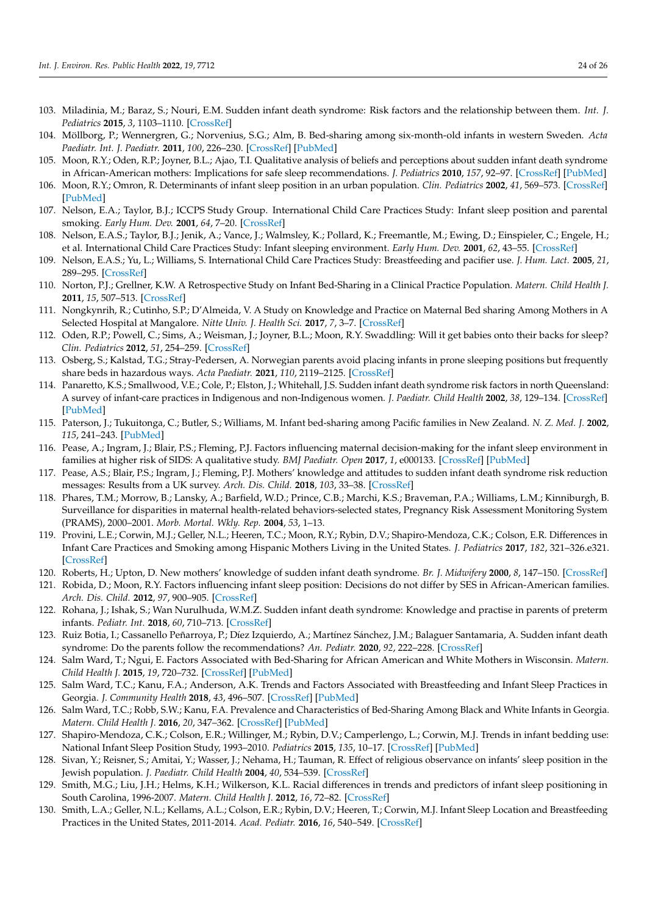- <span id="page-23-0"></span>103. Miladinia, M.; Baraz, S.; Nouri, E.M. Sudden infant death syndrome: Risk factors and the relationship between them. *Int. J. Pediatrics* **2015**, *3*, 1103–1110. [\[CrossRef\]](http://doi.org/10.22038/ijp.2015.5724)
- <span id="page-23-1"></span>104. Möllborg, P.; Wennergren, G.; Norvenius, S.G.; Alm, B. Bed-sharing among six-month-old infants in western Sweden. *Acta Paediatr. Int. J. Paediatr.* **2011**, *100*, 226–230. [\[CrossRef\]](http://doi.org/10.1111/j.1651-2227.2010.02008.x) [\[PubMed\]](http://www.ncbi.nlm.nih.gov/pubmed/20840516)
- <span id="page-23-2"></span>105. Moon, R.Y.; Oden, R.P.; Joyner, B.L.; Ajao, T.I. Qualitative analysis of beliefs and perceptions about sudden infant death syndrome in African-American mothers: Implications for safe sleep recommendations. *J. Pediatrics* **2010**, *157*, 92–97. [\[CrossRef\]](http://doi.org/10.1016/j.jpeds.2010.01.027) [\[PubMed\]](http://www.ncbi.nlm.nih.gov/pubmed/20303505)
- <span id="page-23-3"></span>106. Moon, R.Y.; Omron, R. Determinants of infant sleep position in an urban population. *Clin. Pediatrics* **2002**, *41*, 569–573. [\[CrossRef\]](http://doi.org/10.1177/000992280204100803) [\[PubMed\]](http://www.ncbi.nlm.nih.gov/pubmed/12403373)
- <span id="page-23-4"></span>107. Nelson, E.A.; Taylor, B.J.; ICCPS Study Group. International Child Care Practices Study: Infant sleep position and parental smoking. *Early Hum. Dev.* **2001**, *64*, 7–20. [\[CrossRef\]](http://doi.org/10.1016/S0378-3782(01)00165-7)
- <span id="page-23-5"></span>108. Nelson, E.A.S.; Taylor, B.J.; Jenik, A.; Vance, J.; Walmsley, K.; Pollard, K.; Freemantle, M.; Ewing, D.; Einspieler, C.; Engele, H.; et al. International Child Care Practices Study: Infant sleeping environment. *Early Hum. Dev.* **2001**, *62*, 43–55. [\[CrossRef\]](http://doi.org/10.1016/S0378-3782(01)00116-5)
- <span id="page-23-6"></span>109. Nelson, E.A.S.; Yu, L.; Williams, S. International Child Care Practices Study: Breastfeeding and pacifier use. *J. Hum. Lact.* **2005**, *21*, 289–295. [\[CrossRef\]](http://doi.org/10.1177/0890334405278489)
- <span id="page-23-7"></span>110. Norton, P.J.; Grellner, K.W. A Retrospective Study on Infant Bed-Sharing in a Clinical Practice Population. *Matern. Child Health J.* **2011**, *15*, 507–513. [\[CrossRef\]](http://doi.org/10.1007/s10995-010-0600-0)
- <span id="page-23-8"></span>111. Nongkynrih, R.; Cutinho, S.P.; D'Almeida, V. A Study on Knowledge and Practice on Maternal Bed sharing Among Mothers in A Selected Hospital at Mangalore. *Nitte Univ. J. Health Sci.* **2017**, *7*, 3–7. [\[CrossRef\]](http://doi.org/10.1055/s-0040-1708728)
- <span id="page-23-9"></span>112. Oden, R.P.; Powell, C.; Sims, A.; Weisman, J.; Joyner, B.L.; Moon, R.Y. Swaddling: Will it get babies onto their backs for sleep? *Clin. Pediatrics* **2012**, *51*, 254–259. [\[CrossRef\]](http://doi.org/10.1177/0009922811420714)
- <span id="page-23-10"></span>113. Osberg, S.; Kalstad, T.G.; Stray-Pedersen, A. Norwegian parents avoid placing infants in prone sleeping positions but frequently share beds in hazardous ways. *Acta Paediatr.* **2021**, *110*, 2119–2125. [\[CrossRef\]](http://doi.org/10.1111/apa.15797)
- <span id="page-23-11"></span>114. Panaretto, K.S.; Smallwood, V.E.; Cole, P.; Elston, J.; Whitehall, J.S. Sudden infant death syndrome risk factors in north Queensland: A survey of infant-care practices in Indigenous and non-Indigenous women. *J. Paediatr. Child Health* **2002**, *38*, 129–134. [\[CrossRef\]](http://doi.org/10.1046/j.1440-1754.2002.00759.x) [\[PubMed\]](http://www.ncbi.nlm.nih.gov/pubmed/12030992)
- <span id="page-23-12"></span>115. Paterson, J.; Tukuitonga, C.; Butler, S.; Williams, M. Infant bed-sharing among Pacific families in New Zealand. *N. Z. Med. J.* **2002**, *115*, 241–243. [\[PubMed\]](http://www.ncbi.nlm.nih.gov/pubmed/12117176)
- <span id="page-23-13"></span>116. Pease, A.; Ingram, J.; Blair, P.S.; Fleming, P.J. Factors influencing maternal decision-making for the infant sleep environment in families at higher risk of SIDS: A qualitative study. *BMJ Paediatr. Open* **2017**, *1*, e000133. [\[CrossRef\]](http://doi.org/10.1136/bmjpo-2017-000133) [\[PubMed\]](http://www.ncbi.nlm.nih.gov/pubmed/29637151)
- <span id="page-23-14"></span>117. Pease, A.S.; Blair, P.S.; Ingram, J.; Fleming, P.J. Mothers' knowledge and attitudes to sudden infant death syndrome risk reduction messages: Results from a UK survey. *Arch. Dis. Child.* **2018**, *103*, 33–38. [\[CrossRef\]](http://doi.org/10.1136/archdischild-2017-312927)
- <span id="page-23-15"></span>118. Phares, T.M.; Morrow, B.; Lansky, A.; Barfield, W.D.; Prince, C.B.; Marchi, K.S.; Braveman, P.A.; Williams, L.M.; Kinniburgh, B. Surveillance for disparities in maternal health-related behaviors-selected states, Pregnancy Risk Assessment Monitoring System (PRAMS), 2000–2001. *Morb. Mortal. Wkly. Rep.* **2004**, *53*, 1–13.
- <span id="page-23-16"></span>119. Provini, L.E.; Corwin, M.J.; Geller, N.L.; Heeren, T.C.; Moon, R.Y.; Rybin, D.V.; Shapiro-Mendoza, C.K.; Colson, E.R. Differences in Infant Care Practices and Smoking among Hispanic Mothers Living in the United States. *J. Pediatrics* **2017**, *182*, 321–326.e321. [\[CrossRef\]](http://doi.org/10.1016/j.jpeds.2016.11.053)
- <span id="page-23-17"></span>120. Roberts, H.; Upton, D. New mothers' knowledge of sudden infant death syndrome. *Br. J. Midwifery* **2000**, *8*, 147–150. [\[CrossRef\]](http://doi.org/10.12968/bjom.2000.8.3.8166)
- <span id="page-23-18"></span>121. Robida, D.; Moon, R.Y. Factors influencing infant sleep position: Decisions do not differ by SES in African-American families. *Arch. Dis. Child.* **2012**, *97*, 900–905. [\[CrossRef\]](http://doi.org/10.1136/archdischild-2011-301360)
- <span id="page-23-19"></span>122. Rohana, J.; Ishak, S.; Wan Nurulhuda, W.M.Z. Sudden infant death syndrome: Knowledge and practise in parents of preterm infants. *Pediatr. Int.* **2018**, *60*, 710–713. [\[CrossRef\]](http://doi.org/10.1111/ped.13605)
- <span id="page-23-20"></span>123. Ruiz Botia, I.; Cassanello Peñarroya, P.; Díez Izquierdo, A.; Martínez Sánchez, J.M.; Balaguer Santamaria, A. Sudden infant death syndrome: Do the parents follow the recommendations? *An. Pediatr.* **2020**, *92*, 222–228. [\[CrossRef\]](http://doi.org/10.1016/j.anpedi.2019.06.011)
- <span id="page-23-21"></span>124. Salm Ward, T.; Ngui, E. Factors Associated with Bed-Sharing for African American and White Mothers in Wisconsin. *Matern. Child Health J.* **2015**, *19*, 720–732. [\[CrossRef\]](http://doi.org/10.1007/s10995-014-1545-5) [\[PubMed\]](http://www.ncbi.nlm.nih.gov/pubmed/24942138)
- <span id="page-23-22"></span>125. Salm Ward, T.C.; Kanu, F.A.; Anderson, A.K. Trends and Factors Associated with Breastfeeding and Infant Sleep Practices in Georgia. *J. Community Health* **2018**, *43*, 496–507. [\[CrossRef\]](http://doi.org/10.1007/s10900-017-0442-4) [\[PubMed\]](http://www.ncbi.nlm.nih.gov/pubmed/29129035)
- <span id="page-23-23"></span>126. Salm Ward, T.C.; Robb, S.W.; Kanu, F.A. Prevalence and Characteristics of Bed-Sharing Among Black and White Infants in Georgia. *Matern. Child Health J.* **2016**, *20*, 347–362. [\[CrossRef\]](http://doi.org/10.1007/s10995-015-1834-7) [\[PubMed\]](http://www.ncbi.nlm.nih.gov/pubmed/26525561)
- <span id="page-23-24"></span>127. Shapiro-Mendoza, C.K.; Colson, E.R.; Willinger, M.; Rybin, D.V.; Camperlengo, L.; Corwin, M.J. Trends in infant bedding use: National Infant Sleep Position Study, 1993–2010. *Pediatrics* **2015**, *135*, 10–17. [\[CrossRef\]](http://doi.org/10.1542/peds.2014-1793) [\[PubMed\]](http://www.ncbi.nlm.nih.gov/pubmed/25452654)
- <span id="page-23-25"></span>128. Sivan, Y.; Reisner, S.; Amitai, Y.; Wasser, J.; Nehama, H.; Tauman, R. Effect of religious observance on infants' sleep position in the Jewish population. *J. Paediatr. Child Health* **2004**, *40*, 534–539. [\[CrossRef\]](http://doi.org/10.1111/j.1440-1754.2004.00458.x)
- <span id="page-23-26"></span>129. Smith, M.G.; Liu, J.H.; Helms, K.H.; Wilkerson, K.L. Racial differences in trends and predictors of infant sleep positioning in South Carolina, 1996-2007. *Matern. Child Health J.* **2012**, *16*, 72–82. [\[CrossRef\]](http://doi.org/10.1007/s10995-010-0718-0)
- <span id="page-23-27"></span>130. Smith, L.A.; Geller, N.L.; Kellams, A.L.; Colson, E.R.; Rybin, D.V.; Heeren, T.; Corwin, M.J. Infant Sleep Location and Breastfeeding Practices in the United States, 2011-2014. *Acad. Pediatr.* **2016**, *16*, 540–549. [\[CrossRef\]](http://doi.org/10.1016/j.acap.2016.01.021)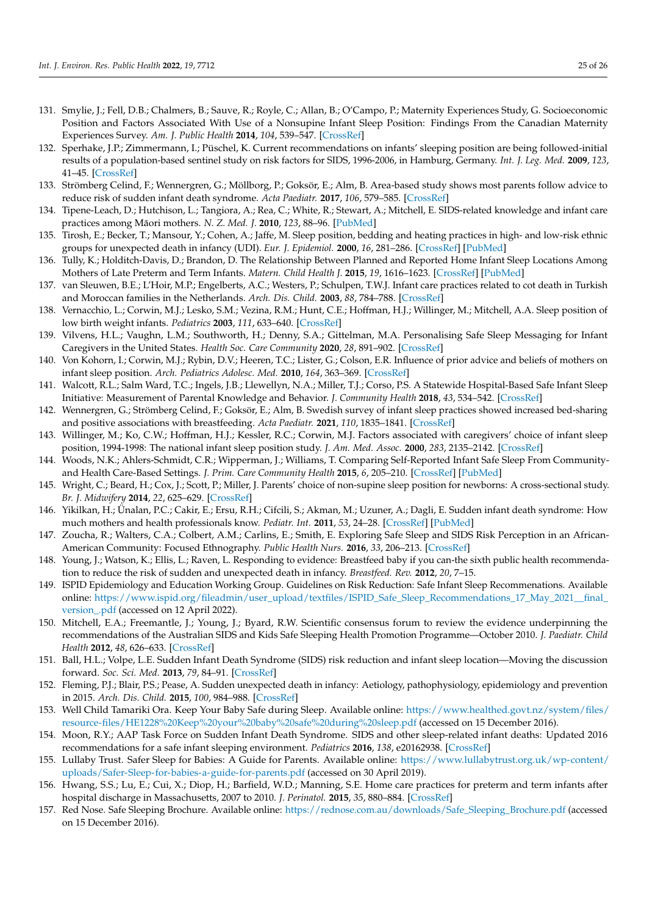- <span id="page-24-0"></span>131. Smylie, J.; Fell, D.B.; Chalmers, B.; Sauve, R.; Royle, C.; Allan, B.; O'Campo, P.; Maternity Experiences Study, G. Socioeconomic Position and Factors Associated With Use of a Nonsupine Infant Sleep Position: Findings From the Canadian Maternity Experiences Survey. *Am. J. Public Health* **2014**, *104*, 539–547. [\[CrossRef\]](http://doi.org/10.2105/AJPH.2012.301061)
- <span id="page-24-1"></span>132. Sperhake, J.P.; Zimmermann, I.; Püschel, K. Current recommendations on infants' sleeping position are being followed-initial results of a population-based sentinel study on risk factors for SIDS, 1996-2006, in Hamburg, Germany. *Int. J. Leg. Med.* **2009**, *123*, 41–45. [\[CrossRef\]](http://doi.org/10.1007/s00414-008-0298-3)
- <span id="page-24-2"></span>133. Strömberg Celind, F.; Wennergren, G.; Möllborg, P.; Goksör, E.; Alm, B. Area-based study shows most parents follow advice to reduce risk of sudden infant death syndrome. *Acta Paediatr.* **2017**, *106*, 579–585. [\[CrossRef\]](http://doi.org/10.1111/apa.13711)
- <span id="page-24-3"></span>134. Tipene-Leach, D.; Hutchison, L.; Tangiora, A.; Rea, C.; White, R.; Stewart, A.; Mitchell, E. SIDS-related knowledge and infant care practices among Māori mothers. N. Z. Med. J. 2010, 123, 88-96. [\[PubMed\]](http://www.ncbi.nlm.nih.gov/pubmed/21326403)
- <span id="page-24-4"></span>135. Tirosh, E.; Becker, T.; Mansour, Y.; Cohen, A.; Jaffe, M. Sleep position, bedding and heating practices in high- and low-risk ethnic groups for unexpected death in infancy (UDI). *Eur. J. Epidemiol.* **2000**, *16*, 281–286. [\[CrossRef\]](http://doi.org/10.1023/A:1007682605820) [\[PubMed\]](http://www.ncbi.nlm.nih.gov/pubmed/10870945)
- <span id="page-24-5"></span>136. Tully, K.; Holditch-Davis, D.; Brandon, D. The Relationship Between Planned and Reported Home Infant Sleep Locations Among Mothers of Late Preterm and Term Infants. *Matern. Child Health J.* **2015**, *19*, 1616–1623. [\[CrossRef\]](http://doi.org/10.1007/s10995-015-1672-7) [\[PubMed\]](http://www.ncbi.nlm.nih.gov/pubmed/25626714)
- <span id="page-24-6"></span>137. van Sleuwen, B.E.; L'Hoir, M.P.; Engelberts, A.C.; Westers, P.; Schulpen, T.W.J. Infant care practices related to cot death in Turkish and Moroccan families in the Netherlands. *Arch. Dis. Child.* **2003**, *88*, 784–788. [\[CrossRef\]](http://doi.org/10.1136/adc.88.9.784)
- <span id="page-24-7"></span>138. Vernacchio, L.; Corwin, M.J.; Lesko, S.M.; Vezina, R.M.; Hunt, C.E.; Hoffman, H.J.; Willinger, M.; Mitchell, A.A. Sleep position of low birth weight infants. *Pediatrics* **2003**, *111*, 633–640. [\[CrossRef\]](http://doi.org/10.1542/peds.111.3.633)
- <span id="page-24-8"></span>139. Vilvens, H.L.; Vaughn, L.M.; Southworth, H.; Denny, S.A.; Gittelman, M.A. Personalising Safe Sleep Messaging for Infant Caregivers in the United States. *Health Soc. Care Community* **2020**, *28*, 891–902. [\[CrossRef\]](http://doi.org/10.1111/hsc.12920)
- <span id="page-24-9"></span>140. Von Kohorn, I.; Corwin, M.J.; Rybin, D.V.; Heeren, T.C.; Lister, G.; Colson, E.R. Influence of prior advice and beliefs of mothers on infant sleep position. *Arch. Pediatrics Adolesc. Med.* **2010**, *164*, 363–369. [\[CrossRef\]](http://doi.org/10.1001/archpediatrics.2010.26)
- <span id="page-24-10"></span>141. Walcott, R.L.; Salm Ward, T.C.; Ingels, J.B.; Llewellyn, N.A.; Miller, T.J.; Corso, P.S. A Statewide Hospital-Based Safe Infant Sleep Initiative: Measurement of Parental Knowledge and Behavior. *J. Community Health* **2018**, *43*, 534–542. [\[CrossRef\]](http://doi.org/10.1007/s10900-017-0449-x)
- <span id="page-24-11"></span>142. Wennergren, G.; Strömberg Celind, F.; Goksör, E.; Alm, B. Swedish survey of infant sleep practices showed increased bed-sharing and positive associations with breastfeeding. *Acta Paediatr.* **2021**, *110*, 1835–1841. [\[CrossRef\]](http://doi.org/10.1111/apa.15719)
- <span id="page-24-12"></span>143. Willinger, M.; Ko, C.W.; Hoffman, H.J.; Kessler, R.C.; Corwin, M.J. Factors associated with caregivers' choice of infant sleep position, 1994-1998: The national infant sleep position study. *J. Am. Med. Assoc.* **2000**, *283*, 2135–2142. [\[CrossRef\]](http://doi.org/10.1001/jama.283.16.2135)
- <span id="page-24-13"></span>144. Woods, N.K.; Ahlers-Schmidt, C.R.; Wipperman, J.; Williams, T. Comparing Self-Reported Infant Safe Sleep From Communityand Health Care-Based Settings. *J. Prim. Care Community Health* **2015**, *6*, 205–210. [\[CrossRef\]](http://doi.org/10.1177/2150131914567967) [\[PubMed\]](http://www.ncbi.nlm.nih.gov/pubmed/26066348)
- <span id="page-24-14"></span>145. Wright, C.; Beard, H.; Cox, J.; Scott, P.; Miller, J. Parents' choice of non-supine sleep position for newborns: A cross-sectional study. *Br. J. Midwifery* **2014**, *22*, 625–629. [\[CrossRef\]](http://doi.org/10.12968/bjom.2014.22.9.625)
- <span id="page-24-15"></span>146. Yikilkan, H.; Ünalan, P.C.; Cakir, E.; Ersu, R.H.; Cifcili, S.; Akman, M.; Uzuner, A.; Dagli, E. Sudden infant death syndrome: How much mothers and health professionals know. *Pediatr. Int.* **2011**, *53*, 24–28. [\[CrossRef\]](http://doi.org/10.1111/j.1442-200X.2010.03202.x) [\[PubMed\]](http://www.ncbi.nlm.nih.gov/pubmed/20626640)
- <span id="page-24-16"></span>147. Zoucha, R.; Walters, C.A.; Colbert, A.M.; Carlins, E.; Smith, E. Exploring Safe Sleep and SIDS Risk Perception in an African-American Community: Focused Ethnography. *Public Health Nurs.* **2016**, *33*, 206–213. [\[CrossRef\]](http://doi.org/10.1111/phn.12235)
- <span id="page-24-17"></span>148. Young, J.; Watson, K.; Ellis, L.; Raven, L. Responding to evidence: Breastfeed baby if you can-the sixth public health recommendation to reduce the risk of sudden and unexpected death in infancy. *Breastfeed. Rev.* **2012**, *20*, 7–15.
- <span id="page-24-18"></span>149. ISPID Epidemiology and Education Working Group. Guidelines on Risk Reduction: Safe Infant Sleep Recommenations. Available online: [https://www.ispid.org/fileadmin/user\\_upload/textfiles/ISPID\\_Safe\\_Sleep\\_Recommendations\\_17\\_May\\_2021\\_\\_final\\_](https://www.ispid.org/fileadmin/user_upload/textfiles/ISPID_Safe_Sleep_Recommendations_17_May_2021__final_version_.pdf) [version\\_.pdf](https://www.ispid.org/fileadmin/user_upload/textfiles/ISPID_Safe_Sleep_Recommendations_17_May_2021__final_version_.pdf) (accessed on 12 April 2022).
- <span id="page-24-19"></span>150. Mitchell, E.A.; Freemantle, J.; Young, J.; Byard, R.W. Scientific consensus forum to review the evidence underpinning the recommendations of the Australian SIDS and Kids Safe Sleeping Health Promotion Programme—October 2010. *J. Paediatr. Child Health* **2012**, *48*, 626–633. [\[CrossRef\]](http://doi.org/10.1111/j.1440-1754.2011.02215.x)
- <span id="page-24-26"></span>151. Ball, H.L.; Volpe, L.E. Sudden Infant Death Syndrome (SIDS) risk reduction and infant sleep location—Moving the discussion forward. *Soc. Sci. Med.* **2013**, *79*, 84–91. [\[CrossRef\]](http://doi.org/10.1016/j.socscimed.2012.03.025)
- <span id="page-24-20"></span>152. Fleming, P.J.; Blair, P.S.; Pease, A. Sudden unexpected death in infancy: Aetiology, pathophysiology, epidemiology and prevention in 2015. *Arch. Dis. Child.* **2015**, *100*, 984–988. [\[CrossRef\]](http://doi.org/10.1136/archdischild-2014-306424)
- <span id="page-24-21"></span>153. Well Child Tamariki Ora. Keep Your Baby Safe during Sleep. Available online: [https://www.healthed.govt.nz/system/files/](https://www.healthed.govt.nz/system/files/resource-files/HE1228%20Keep%20your%20baby%20safe%20during%20sleep.pdf) [resource-files/HE1228%20Keep%20your%20baby%20safe%20during%20sleep.pdf](https://www.healthed.govt.nz/system/files/resource-files/HE1228%20Keep%20your%20baby%20safe%20during%20sleep.pdf) (accessed on 15 December 2016).
- <span id="page-24-25"></span>154. Moon, R.Y.; AAP Task Force on Sudden Infant Death Syndrome. SIDS and other sleep-related infant deaths: Updated 2016 recommendations for a safe infant sleeping environment. *Pediatrics* **2016**, *138*, e20162938. [\[CrossRef\]](http://doi.org/10.1542/peds.2016-2940)
- <span id="page-24-22"></span>155. Lullaby Trust. Safer Sleep for Babies: A Guide for Parents. Available online: [https://www.lullabytrust.org.uk/wp-content/](https://www.lullabytrust.org.uk/wp-content/uploads/Safer-Sleep-for-babies-a-guide-for-parents.pdf) [uploads/Safer-Sleep-for-babies-a-guide-for-parents.pdf](https://www.lullabytrust.org.uk/wp-content/uploads/Safer-Sleep-for-babies-a-guide-for-parents.pdf) (accessed on 30 April 2019).
- <span id="page-24-23"></span>156. Hwang, S.S.; Lu, E.; Cui, X.; Diop, H.; Barfield, W.D.; Manning, S.E. Home care practices for preterm and term infants after hospital discharge in Massachusetts, 2007 to 2010. *J. Perinatol.* **2015**, *35*, 880–884. [\[CrossRef\]](http://doi.org/10.1038/jp.2015.90)
- <span id="page-24-24"></span>157. Red Nose. Safe Sleeping Brochure. Available online: [https://rednose.com.au/downloads/Safe\\_Sleeping\\_Brochure.pdf](https://rednose.com.au/downloads/Safe_Sleeping_Brochure.pdf) (accessed on 15 December 2016).